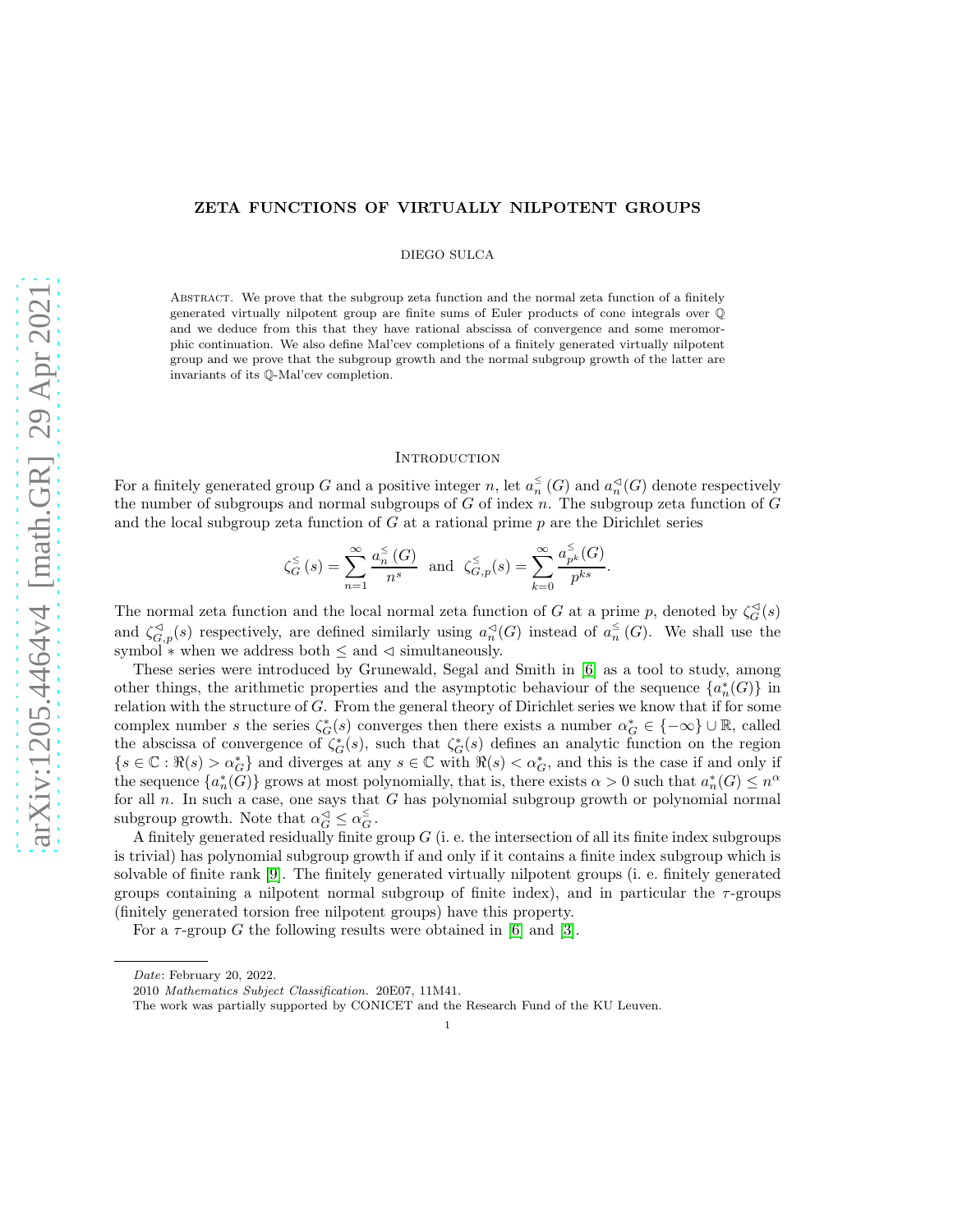# arXiv:1205.4464v4 [math.GR] 29 Apr 2021 [arXiv:1205.4464v4 \[math.GR\] 29 Apr 2021](http://arxiv.org/abs/1205.4464v4)

# ZETA FUNCTIONS OF VIRTUALLY NILPOTENT GROUPS

DIEGO SULCA

Abstract. We prove that the subgroup zeta function and the normal zeta function of a finitely generated virtually nilpotent group are finite sums of Euler products of cone integrals over Q and we deduce from this that they have rational abscissa of convergence and some meromorphic continuation. We also define Mal'cev completions of a finitely generated virtually nilpotent group and we prove that the subgroup growth and the normal subgroup growth of the latter are invariants of its Q-Mal'cev completion.

# **INTRODUCTION**

For a finitely generated group G and a positive integer n, let  $a_n^{\leq}(G)$  and  $a_n^{\leq}(G)$  denote respectively the number of subgroups and normal subgroups of  $G$  of index  $n$ . The subgroup zeta function of  $G$ and the local subgroup zeta function of  $G$  at a rational prime  $p$  are the Dirichlet series

$$
\zeta_G^{\leq}(s) = \sum_{n=1}^{\infty} \frac{a_n^{\leq}(G)}{n^s} \text{ and } \zeta_{G,p}^{\leq}(s) = \sum_{k=0}^{\infty} \frac{a_{p^k}^{\leq}(G)}{p^{ks}}.
$$

The normal zeta function and the local normal zeta function of G at a prime p, denoted by  $\zeta_G^{\triangleleft}(s)$ and  $\zeta_{G,p}^{\lhd}(s)$  respectively, are defined similarly using  $a_n^{\lhd}(G)$  instead of  $a_n^{\lhd}(G)$ . We shall use the symbol  $*$  when we address both  $\leq$  and  $\triangleleft$  simultaneously.

These series were introduced by Grunewald, Segal and Smith in [\[6\]](#page-16-0) as a tool to study, among other things, the arithmetic properties and the asymptotic behaviour of the sequence  $\{a_n^*(G)\}\$  in relation with the structure of  $G$ . From the general theory of Dirichlet series we know that if for some complex number s the series  $\zeta_G^*(s)$  converges then there exists a number  $\alpha_G^* \in \{-\infty\} \cup \mathbb{R}$ , called the abscissa of convergence of  $\zeta_G^*(s)$ , such that  $\zeta_G^*(s)$  defines an analytic function on the region  ${s \in \mathbb{C} : \Re(s) > \alpha_G^*}$  and diverges at any  $s \in \mathbb{C}$  with  $\Re(s) < \alpha_G^*$ , and this is the case if and only if the sequence  $\{a_n^*(G)\}\)$  grows at most polynomially, that is, there exists  $\alpha > 0$  such that  $a_n^*(G) \leq n^{\alpha}$ for all  $n$ . In such a case, one says that  $G$  has polynomial subgroup growth or polynomial normal subgroup growth. Note that  $\alpha_G^{\leq} \leq \alpha_G^{\leq}$ .

A finitely generated residually finite group  $G$  (i. e. the intersection of all its finite index subgroups is trivial) has polynomial subgroup growth if and only if it contains a finite index subgroup which is solvable of finite rank [\[9\]](#page-16-1). The finitely generated virtually nilpotent groups (i. e. finitely generated groups containing a nilpotent normal subgroup of finite index), and in particular the  $\tau$ -groups (finitely generated torsion free nilpotent groups) have this property.

For a  $\tau$ -group G the following results were obtained in [\[6\]](#page-16-0) and [\[3\]](#page-16-2).

Date: February 20, 2022.

<sup>2010</sup> Mathematics Subject Classification. 20E07, 11M41.

The work was partially supported by CONICET and the Research Fund of the KU Leuven.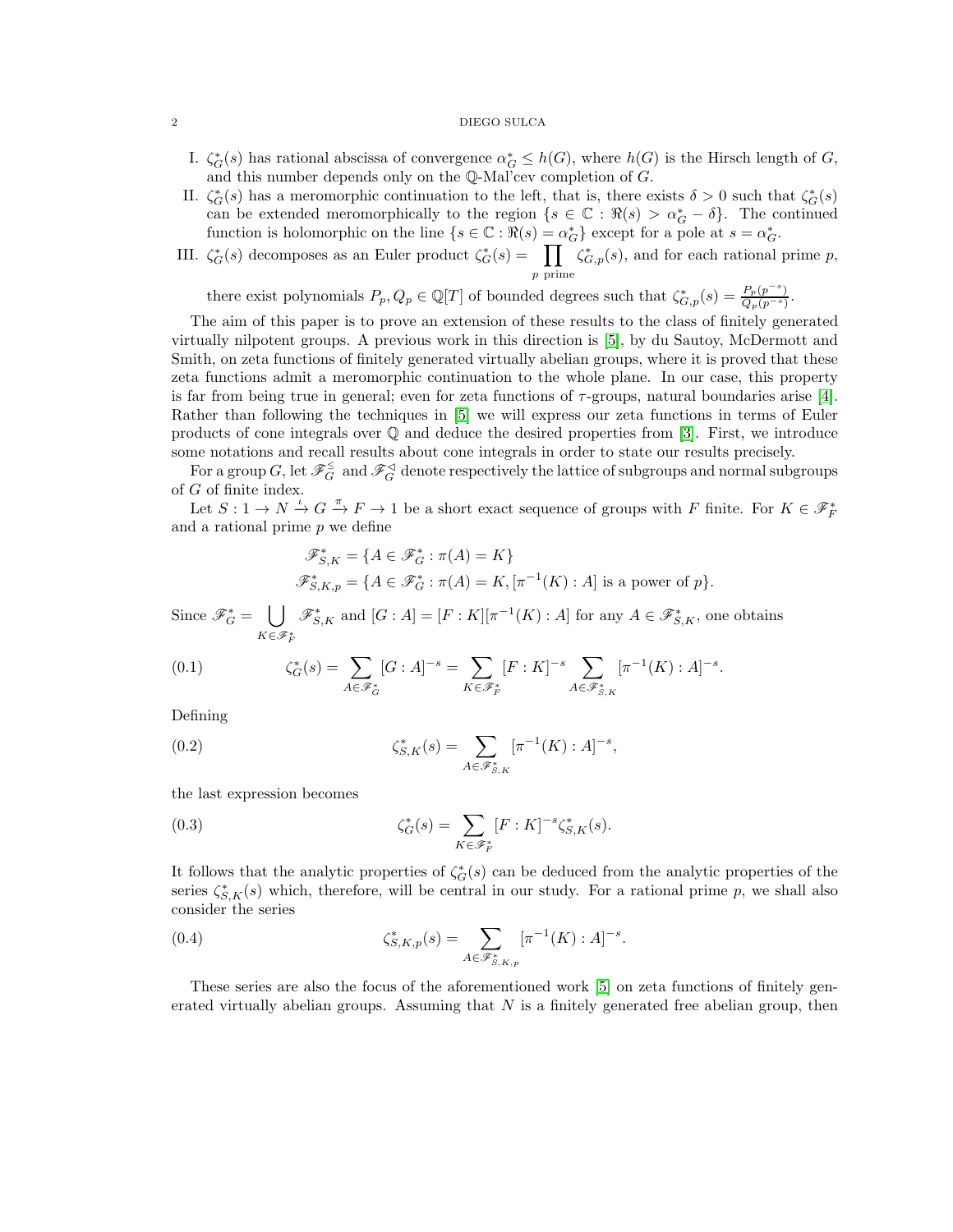### $2\,$  DIEGO SULCA

- I.  $\zeta_G^*(s)$  has rational abscissa of convergence  $\alpha_G^* \leq h(G)$ , where  $h(G)$  is the Hirsch length of G, and this number depends only on the Q-Mal'cev completion of G.
- II.  $\zeta_G^*(s)$  has a meromorphic continuation to the left, that is, there exists  $\delta > 0$  such that  $\zeta_G^*(s)$ can be extended meromorphically to the region  $\{s \in \mathbb{C} : \Re(s) > \alpha_G^* - \delta\}$ . The continued function is holomorphic on the line  $\{s \in \mathbb{C} : \Re(s) = \alpha_G^*\}$  except for a pole at  $s = \alpha_G^*$ .
- III.  $\zeta_G^*(s)$  decomposes as an Euler product  $\zeta_G^*(s) = \prod$ p prime  $\zeta_{G,p}^*(s)$ , and for each rational prime p,

there exist polynomials  $P_p, Q_p \in \mathbb{Q}[T]$  of bounded degrees such that  $\zeta_{G,p}^*(s) = \frac{P_p(p^{-s})}{Q_p(p^{-s})}$ .

The aim of this paper is to prove an extension of these results to the class of finitely generated virtually nilpotent groups. A previous work in this direction is [\[5\]](#page-16-3), by du Sautoy, McDermott and Smith, on zeta functions of finitely generated virtually abelian groups, where it is proved that these zeta functions admit a meromorphic continuation to the whole plane. In our case, this property is far from being true in general; even for zeta functions of  $\tau$ -groups, natural boundaries arise [\[4\]](#page-16-4). Rather than following the techniques in [\[5\]](#page-16-3) we will express our zeta functions in terms of Euler products of cone integrals over Q and deduce the desired properties from [\[3\]](#page-16-2). First, we introduce some notations and recall results about cone integrals in order to state our results precisely.

For a group G, let  $\mathscr{F}_G^\leq \text{ and } \mathscr{F}_G^\triangleleft$  denote respectively the lattice of subgroups and normal subgroups of G of finite index.

Let  $S: 1 \to N \xrightarrow{\iota} G \xrightarrow{\pi} F \to 1$  be a short exact sequence of groups with F finite. For  $K \in \mathscr{F}_F^*$ and a rational prime  $p$  we define

$$
\mathscr{F}_{S,K}^* = \{ A \in \mathscr{F}_G^* : \pi(A) = K \}
$$
  

$$
\mathscr{F}_{S,K,p}^* = \{ A \in \mathscr{F}_G^* : \pi(A) = K, [\pi^{-1}(K) : A] \text{ is a power of } p \}.
$$

Since  $\mathscr{F}_G^* = \bigcup$  $K\in\mathscr{F}^*_F$  $\mathscr{F}_{S,K}^*$  and  $[G : A] = [F : K][\pi^{-1}(K) : A]$  for any  $A \in \mathscr{F}_{S,K}^*$ , one obtains

(0.1) 
$$
\zeta_G^*(s) = \sum_{A \in \mathscr{F}_G^*} [G : A]^{-s} = \sum_{K \in \mathscr{F}_F^*} [F : K]^{-s} \sum_{A \in \mathscr{F}_{S,K}^*} [\pi^{-1}(K) : A]^{-s}.
$$

Defining

(0.2) 
$$
\zeta_{S,K}^*(s) = \sum_{A \in \mathscr{F}_{S,K}^*} [\pi^{-1}(K) : A]^{-s},
$$

the last expression becomes

(0.3) 
$$
\zeta_G^*(s) = \sum_{K \in \mathscr{F}_F^*} [F : K]^{-s} \zeta_{S,K}^*(s).
$$

It follows that the analytic properties of  $\zeta_G^*(s)$  can be deduced from the analytic properties of the series  $\zeta_{S,K}^*(s)$  which, therefore, will be central in our study. For a rational prime p, we shall also consider the series

(0.4) 
$$
\zeta_{S,K,p}^*(s) = \sum_{A \in \mathscr{F}_{S,K,p}^*} [\pi^{-1}(K) : A]^{-s}.
$$

These series are also the focus of the aforementioned work [\[5\]](#page-16-3) on zeta functions of finitely generated virtually abelian groups. Assuming that  $N$  is a finitely generated free abelian group, then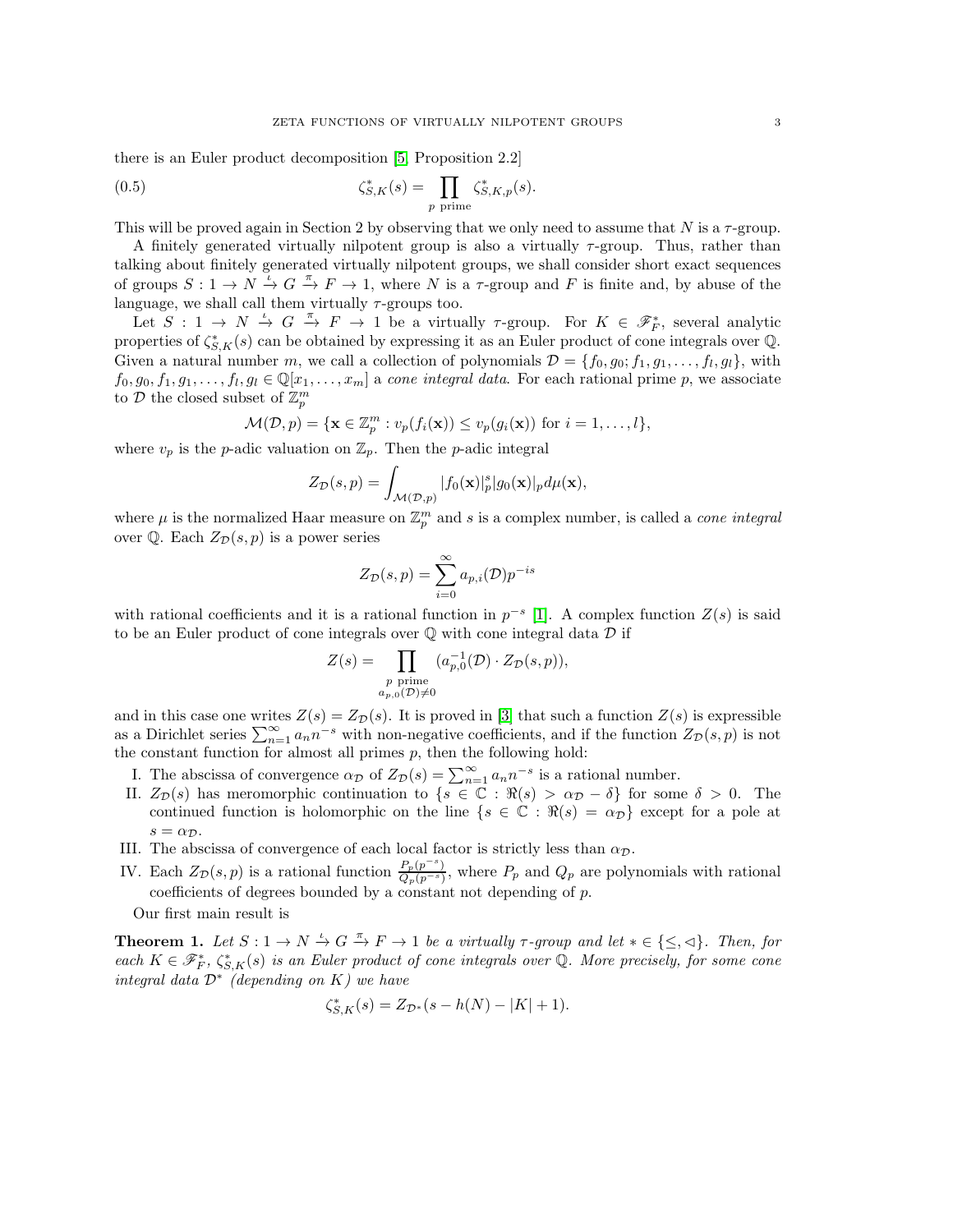there is an Euler product decomposition [\[5,](#page-16-3) Proposition 2.2]

(0.5) 
$$
\zeta_{S,K}^*(s) = \prod_{p \text{ prime}} \zeta_{S,K,p}^*(s).
$$

This will be proved again in Section 2 by observing that we only need to assume that N is a  $\tau$ -group.

A finitely generated virtually nilpotent group is also a virtually  $\tau$ -group. Thus, rather than talking about finitely generated virtually nilpotent groups, we shall consider short exact sequences of groups  $S: 1 \to N \stackrel{\iota}{\to} G \stackrel{\pi}{\to} F \to 1$ , where N is a  $\tau$ -group and F is finite and, by abuse of the language, we shall call them virtually  $\tau$ -groups too.

Let  $S: 1 \to N \stackrel{\iota}{\to} G \stackrel{\pi}{\to} F \to 1$  be a virtually  $\tau$ -group. For  $K \in \mathscr{F}_{F}^*$ , several analytic properties of  $\zeta_{S,K}^*(s)$  can be obtained by expressing it as an Euler product of cone integrals over Q. Given a natural number m, we call a collection of polynomials  $\mathcal{D} = \{f_0, g_0; f_1, g_1, \ldots, f_l, g_l\}$ , with  $f_0, g_0, f_1, g_1, \ldots, f_l, g_l \in \mathbb{Q}[x_1, \ldots, x_m]$  a cone integral data. For each rational prime p, we associate to  $\mathcal D$  the closed subset of  $\mathbb Z_p^m$ 

$$
\mathcal{M}(\mathcal{D},p) = \{ \mathbf{x} \in \mathbb{Z}_p^m : v_p(f_i(\mathbf{x})) \le v_p(g_i(\mathbf{x})) \text{ for } i = 1,\ldots,l \},\
$$

where  $v_p$  is the p-adic valuation on  $\mathbb{Z}_p$ . Then the p-adic integral

$$
Z_{\mathcal{D}}(s,p) = \int_{\mathcal{M}(\mathcal{D},p)} |f_0(\mathbf{x})|_p^s |g_0(\mathbf{x})|_p d\mu(\mathbf{x}),
$$

where  $\mu$  is the normalized Haar measure on  $\mathbb{Z}_p^m$  and s is a complex number, is called a *cone integral* over  $\mathbb Q$ . Each  $Z_{\mathcal{D}}(s, p)$  is a power series

$$
Z_{\mathcal{D}}(s,p) = \sum_{i=0}^{\infty} a_{p,i}(\mathcal{D}) p^{-is}
$$

with rational coefficients and it is a rational function in  $p^{-s}$  [\[1\]](#page-16-5). A complex function  $Z(s)$  is said to be an Euler product of cone integrals over  $\mathbb Q$  with cone integral data  $\mathcal D$  if

$$
Z(s) = \prod_{\substack{p \text{ prime} \\ a_{p,0}(\mathcal{D}) \neq 0}} (a_{p,0}^{-1}(\mathcal{D}) \cdot Z_{\mathcal{D}}(s, p)),
$$

and in this case one writes  $Z(s) = Z_{\mathcal{D}}(s)$ . It is proved in [\[3\]](#page-16-2) that such a function  $Z(s)$  is expressible as a Dirichlet series  $\sum_{n=1}^{\infty} a_n n^{-s}$  with non-negative coefficients, and if the function  $Z_{\mathcal{D}}(s,p)$  is not the constant function for almost all primes  $p$ , then the following hold:

- I. The abscissa of convergence  $\alpha_{\mathcal{D}}$  of  $Z_{\mathcal{D}}(s) = \sum_{n=1}^{\infty} a_n n^{-s}$  is a rational number.
- II.  $Z_{\mathcal{D}}(s)$  has meromorphic continuation to  $\{s \in \mathbb{C} : \Re(s) > \alpha_{\mathcal{D}} \delta\}$  for some  $\delta > 0$ . The continued function is holomorphic on the line  $\{s \in \mathbb{C} : \Re(s) = \alpha_{\mathcal{D}}\}$  except for a pole at  $s = \alpha_{\mathcal{D}}.$
- III. The abscissa of convergence of each local factor is strictly less than  $\alpha_{\mathcal{D}}$ .
- IV. Each  $Z_{\mathcal{D}}(s,p)$  is a rational function  $\frac{P_p(p^{-s})}{Q_p(p^{-s})}$ , where  $P_p$  and  $Q_p$  are polynomials with rational coefficients of degrees bounded by a constant not depending of  $p$ .

Our first main result is

**Theorem 1.** Let  $S: 1 \to N \stackrel{\iota}{\to} G \stackrel{\pi}{\to} F \to 1$  be a virtually  $\tau$ -group and let  $* \in \{\leq, \preceq\}$ . Then, for each  $K \in \mathscr{F}_{F}^{*}$ ,  $\zeta_{S,K}^{*}(s)$  is an Euler product of cone integrals over Q. More precisely, for some cone integral data  $\mathcal{D}^*$  (depending on K) we have

$$
\zeta_{S,K}^*(s) = Z_{\mathcal{D}^*}(s - h(N) - |K| + 1).
$$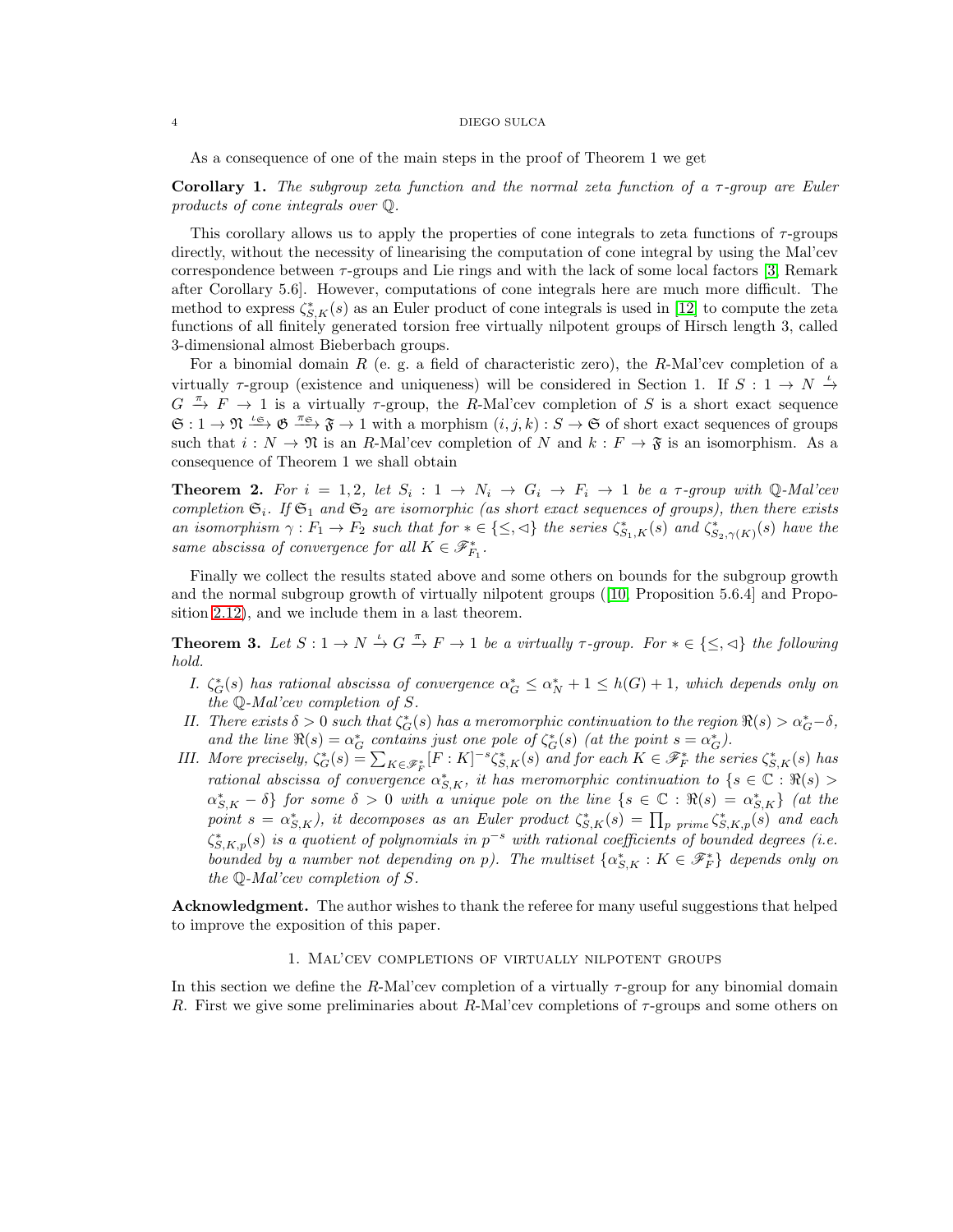As a consequence of one of the main steps in the proof of Theorem 1 we get

Corollary 1. The subgroup zeta function and the normal zeta function of a  $\tau$ -group are Euler products of cone integrals over Q.

This corollary allows us to apply the properties of cone integrals to zeta functions of  $\tau$ -groups directly, without the necessity of linearising the computation of cone integral by using the Mal'cev correspondence between  $\tau$ -groups and Lie rings and with the lack of some local factors [\[3,](#page-16-2) Remark after Corollary 5.6]. However, computations of cone integrals here are much more difficult. The method to express  $\zeta_{S,K}^*(s)$  as an Euler product of cone integrals is used in [\[12\]](#page-16-6) to compute the zeta functions of all finitely generated torsion free virtually nilpotent groups of Hirsch length 3, called 3-dimensional almost Bieberbach groups.

For a binomial domain R (e. g. a field of characteristic zero), the R-Mal'cev completion of a virtually  $\tau$ -group (existence and uniqueness) will be considered in Section 1. If  $S: 1 \to N \stackrel{\iota}{\to}$  $G \stackrel{\pi}{\rightarrow} F \rightarrow 1$  is a virtually  $\tau$ -group, the R-Mal'cev completion of S is a short exact sequence  $\mathfrak{S}: 1 \to \mathfrak{N} \stackrel{\iota_{\mathfrak{S}}}{\longrightarrow} \mathfrak{F} \stackrel{\pi_{\mathfrak{S}}}{\longrightarrow} \mathfrak{F} \to 1$  with a morphism  $(i, j, k): S \to \mathfrak{S}$  of short exact sequences of groups such that  $i : N \to \mathfrak{N}$  is an R-Mal'cev completion of N and  $k : F \to \mathfrak{F}$  is an isomorphism. As a consequence of Theorem 1 we shall obtain

**Theorem 2.** For  $i = 1, 2$ , let  $S_i : 1 \rightarrow N_i \rightarrow G_i \rightarrow F_i \rightarrow 1$  be a  $\tau$ -group with  $\mathbb{Q}$ -Mal'cev completion  $\mathfrak{S}_i$ . If  $\mathfrak{S}_1$  and  $\mathfrak{S}_2$  are isomorphic (as short exact sequences of groups), then there exists an isomorphism  $\gamma: F_1 \to F_2$  such that for  $* \in \{\leq,\leq\}$  the series  $\zeta_{S_1,K}^*(s)$  and  $\zeta_{S_2,\gamma(K)}^*(s)$  have the same abscissa of convergence for all  $K \in \mathscr{F}_{F_1}^*$ .

Finally we collect the results stated above and some others on bounds for the subgroup growth and the normal subgroup growth of virtually nilpotent groups ([\[10,](#page-16-7) Proposition 5.6.4] and Proposition [2.12\)](#page-15-0), and we include them in a last theorem.

**Theorem 3.** Let  $S: 1 \to N \stackrel{\iota}{\to} G \stackrel{\pi}{\to} F \to 1$  be a virtually  $\tau$ -group. For  $* \in \{\leq, \preceq\}$  the following hold.

- I.  $\zeta_G^*(s)$  has rational abscissa of convergence  $\alpha_G^* \leq \alpha_N^* + 1 \leq h(G) + 1$ , which depends only on the Q-Mal'cev completion of S.
- II. There exists  $\delta > 0$  such that  $\zeta_G^*(s)$  has a meromorphic continuation to the region  $\Re(s) > \alpha_G^* \delta$ , and the line  $\Re(s) = \alpha_G^*$  contains just one pole of  $\zeta_G^*(s)$  (at the point  $s = \alpha_G^*$ ).
- III. More precisely,  $\zeta_G^*(s) = \sum_{K \in \mathscr{F}_F^*} [F : K]^{-s} \zeta_{S,K}^*(s)$  and for each  $K \in \mathscr{F}_F^*$  the series  $\zeta_{S,K}^*(s)$  has rational abscissa of convergence  $\alpha_{S,K}^*$ , it has meromorphic continuation to  $\{s \in \mathbb{C} : \Re(s) > \pi\}$  $\{\alpha_{S,K}^*-\delta\}$  for some  $\delta>0$  with a unique pole on the line  $\{s\in\mathbb{C}:\Re(s)=\alpha_{S,K}^*\}$  (at the point  $s = \alpha_{S,K}^*$ ), it decomposes as an Euler product  $\zeta_{S,K}^*(s) = \prod_{p \ prime} \zeta_{S,K,p}^*(s)$  and each  $\zeta_{S,K,p}^{*}(s)$  is a quotient of polynomials in  $p^{-s}$  with rational coefficients of bounded degrees (i.e. bounded by a number not depending on p). The multiset  $\{\alpha_{S,K}^*: K \in \mathscr{F}_F^*\}$  depends only on the Q-Mal'cev completion of S.

Acknowledgment. The author wishes to thank the referee for many useful suggestions that helped to improve the exposition of this paper.

# 1. Mal'cev completions of virtually nilpotent groups

In this section we define the R-Mal'cev completion of a virtually  $\tau$ -group for any binomial domain R. First we give some preliminaries about R-Mal'cev completions of  $\tau$ -groups and some others on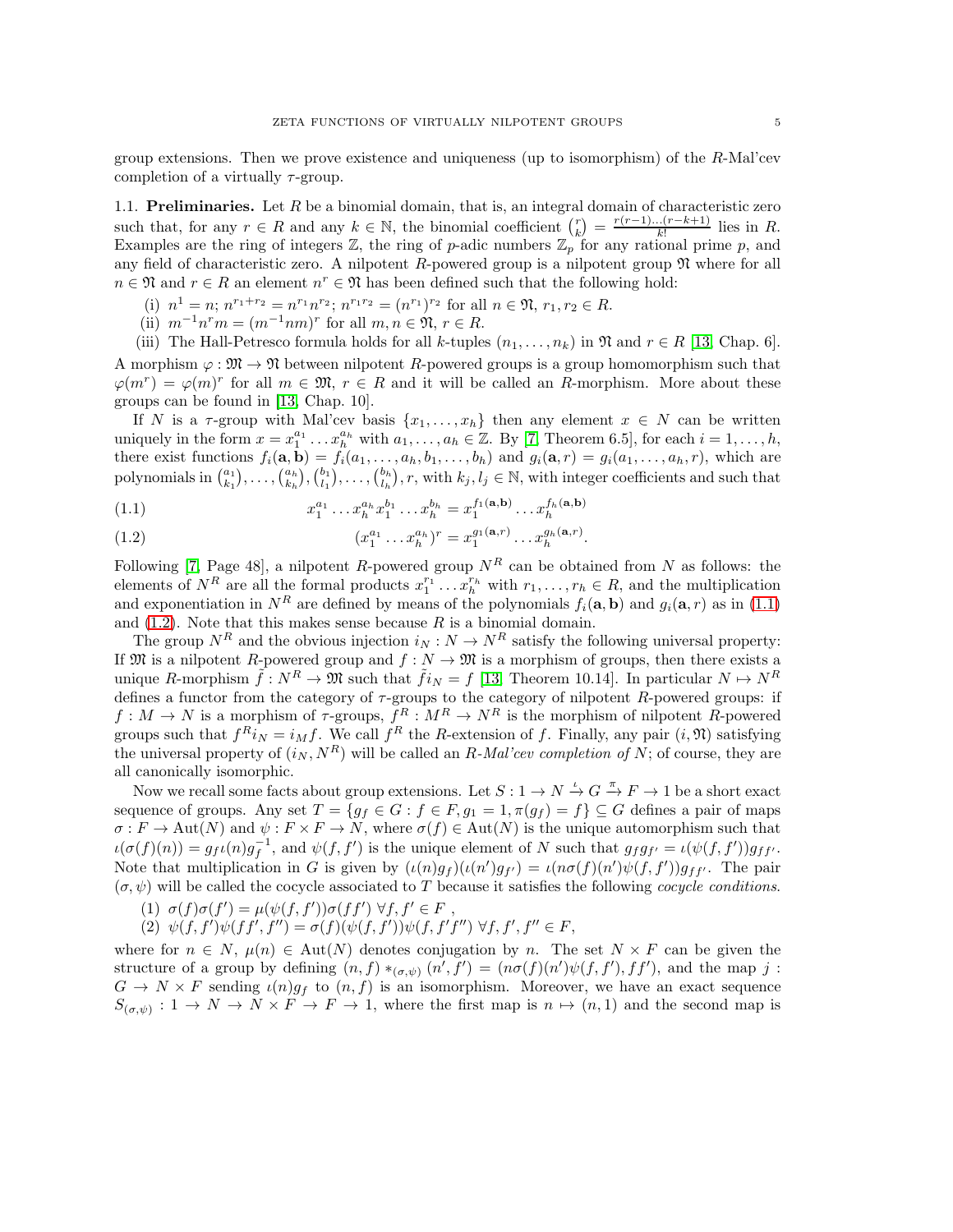group extensions. Then we prove existence and uniqueness (up to isomorphism) of the R-Mal'cev completion of a virtually  $\tau$ -group.

1.1. **Preliminaries.** Let  $R$  be a binomial domain, that is, an integral domain of characteristic zero such that, for any  $r \in R$  and any  $k \in \mathbb{N}$ , the binomial coefficient  $\binom{r}{k} = \frac{r(r-1)\dots(r-k+1)}{k!}$  $\frac{(r-\kappa+1)}{k!}$  lies in R. Examples are the ring of integers  $\mathbb{Z}$ , the ring of p-adic numbers  $\mathbb{Z}_p$  for any rational prime p, and any field of characteristic zero. A nilpotent  $R$ -powered group is a nilpotent group  $\mathfrak N$  where for all  $n \in \mathfrak{N}$  and  $r \in R$  an element  $n^r \in \mathfrak{N}$  has been defined such that the following hold:

- (i)  $n^1 = n$ ;  $n^{r_1+r_2} = n^{r_1}n^{r_2}$ ;  $n^{r_1r_2} = (n^{r_1})^{r_2}$  for all  $n \in \mathfrak{N}$ ,  $r_1, r_2 \in R$ .
- (ii)  $m^{-1}n^r m = (m^{-1}nm)^r$  for all  $m, n \in \mathfrak{N}, r \in R$ .
- (iii) The Hall-Petresco formula holds for all k-tuples  $(n_1, \ldots, n_k)$  in  $\mathfrak{N}$  and  $r \in R$  [\[13,](#page-16-8) Chap. 6].

A morphism  $\varphi : \mathfrak{M} \to \mathfrak{N}$  between nilpotent R-powered groups is a group homomorphism such that  $\varphi(m^r) = \varphi(m)^r$  for all  $m \in \mathfrak{M}, r \in R$  and it will be called an R-morphism. More about these groups can be found in [\[13,](#page-16-8) Chap. 10].

If N is a  $\tau$ -group with Mal'cev basis  $\{x_1, \ldots, x_h\}$  then any element  $x \in N$  can be written uniquely in the form  $x = x_1^{a_1} \ldots x_h^{a_h}$  with  $a_1, \ldots, a_h \in \mathbb{Z}$ . By [\[7,](#page-16-9) Theorem 6.5], for each  $i = 1, \ldots, h$ , there exist functions  $f_i(\mathbf{a}, \mathbf{b}) = f_i(a_1, \ldots, a_h, b_1, \ldots, b_h)$  and  $g_i(\mathbf{a}, r) = g_i(a_1, \ldots, a_h, r)$ , which are polynomials in  $\binom{a_1}{k_1}, \ldots, \binom{a_h}{k_h}, \binom{b_1}{l_1}, \ldots, \binom{b_h}{l_h}, r$ , with  $k_j, l_j \in \mathbb{N}$ , with integer coefficients and such that

<span id="page-4-0"></span>(1.1) 
$$
x_1^{a_1} \dots x_h^{a_h} x_1^{b_1} \dots x_h^{b_h} = x_1^{f_1(\mathbf{a}, \mathbf{b})} \dots x_h^{f_h(\mathbf{a}, \mathbf{b})}
$$

<span id="page-4-1"></span>(1.2) 
$$
(x_1^{a_1} \dots x_h^{a_h})^r = x_1^{g_1(\mathbf{a},r)} \dots x_h^{g_h(\mathbf{a},r)}.
$$

Following [\[7,](#page-16-9) Page 48], a nilpotent R-powered group  $N^R$  can be obtained from N as follows: the elements of  $N^R$  are all the formal products  $x_1^{r_1} \ldots x_h^{r_h}$  with  $r_1, \ldots, r_h \in R$ , and the multiplication and exponentiation in  $N^R$  are defined by means of the polynomials  $f_i(\mathbf{a}, \mathbf{b})$  and  $g_i(\mathbf{a}, r)$  as in [\(1.1\)](#page-4-0) and  $(1.2)$ . Note that this makes sense because R is a binomial domain.

The group  $N^R$  and the obvious injection  $i_N : N \to N^R$  satisfy the following universal property: If M is a nilpotent R-powered group and  $f : N \to \mathfrak{M}$  is a morphism of groups, then there exists a unique R-morphism  $\tilde{f}: N^R \to \mathfrak{M}$  such that  $\tilde{f}i_N = f$  [\[13,](#page-16-8) Theorem 10.14]. In particular  $N \to N^R$ defines a functor from the category of  $\tau$ -groups to the category of nilpotent R-powered groups: if  $f: M \to N$  is a morphism of  $\tau$ -groups,  $f^R: M^R \to N^R$  is the morphism of nilpotent R-powered groups such that  $f^R i_N = i_M f$ . We call  $f^R$  the R-extension of f. Finally, any pair  $(i, \mathfrak{N})$  satisfying the universal property of  $(i_N, N^R)$  will be called an R-Mal'cev completion of N; of course, they are all canonically isomorphic.

Now we recall some facts about group extensions. Let  $S: 1 \to N \stackrel{\iota}{\to} G \stackrel{\pi}{\to} F \to 1$  be a short exact sequence of groups. Any set  $T = \{g_f \in G : f \in F, g_1 = 1, \pi(g_f) = f\} \subseteq G$  defines a pair of maps  $\sigma : F \to \text{Aut}(N)$  and  $\psi : F \times F \to N$ , where  $\sigma(f) \in \text{Aut}(N)$  is the unique automorphism such that  $\iota(\sigma(f)(n)) = g_f \iota(n) g_f^{-1}$ , and  $\psi(f, f')$  is the unique element of N such that  $g_f g_{f'} = \iota(\psi(f, f')) g_{f f'}$ . Note that multiplication in G is given by  $(\iota(n)g_f)(\iota(n')g_{f'}) = \iota(n\sigma(f)(n')\psi(f,f'))g_{ff'}$ . The pair  $(\sigma, \psi)$  will be called the cocycle associated to T because it satisfies the following *cocycle conditions*.

- (1)  $\sigma(f)\sigma(f') = \mu(\psi(f, f'))\sigma(ff') \ \forall f, f' \in F$ ,
- (2)  $\psi(f, f')\psi(f f', f'') = \sigma(f)(\psi(f, f'))\psi(f, f' f'') \,\forall f, f', f'' \in F,$

where for  $n \in N$ ,  $\mu(n) \in Aut(N)$  denotes conjugation by n. The set  $N \times F$  can be given the structure of a group by defining  $(n, f) *_{(\sigma,\psi)} (n', f') = (n\sigma(f)(n')\psi(f, f'), ff')$ , and the map j:  $G \to N \times F$  sending  $\iota(n)g_f$  to  $(n, f)$  is an isomorphism. Moreover, we have an exact sequence  $S_{(\sigma,\psi)}: 1 \to N \to N \times F \to F \to 1$ , where the first map is  $n \mapsto (n,1)$  and the second map is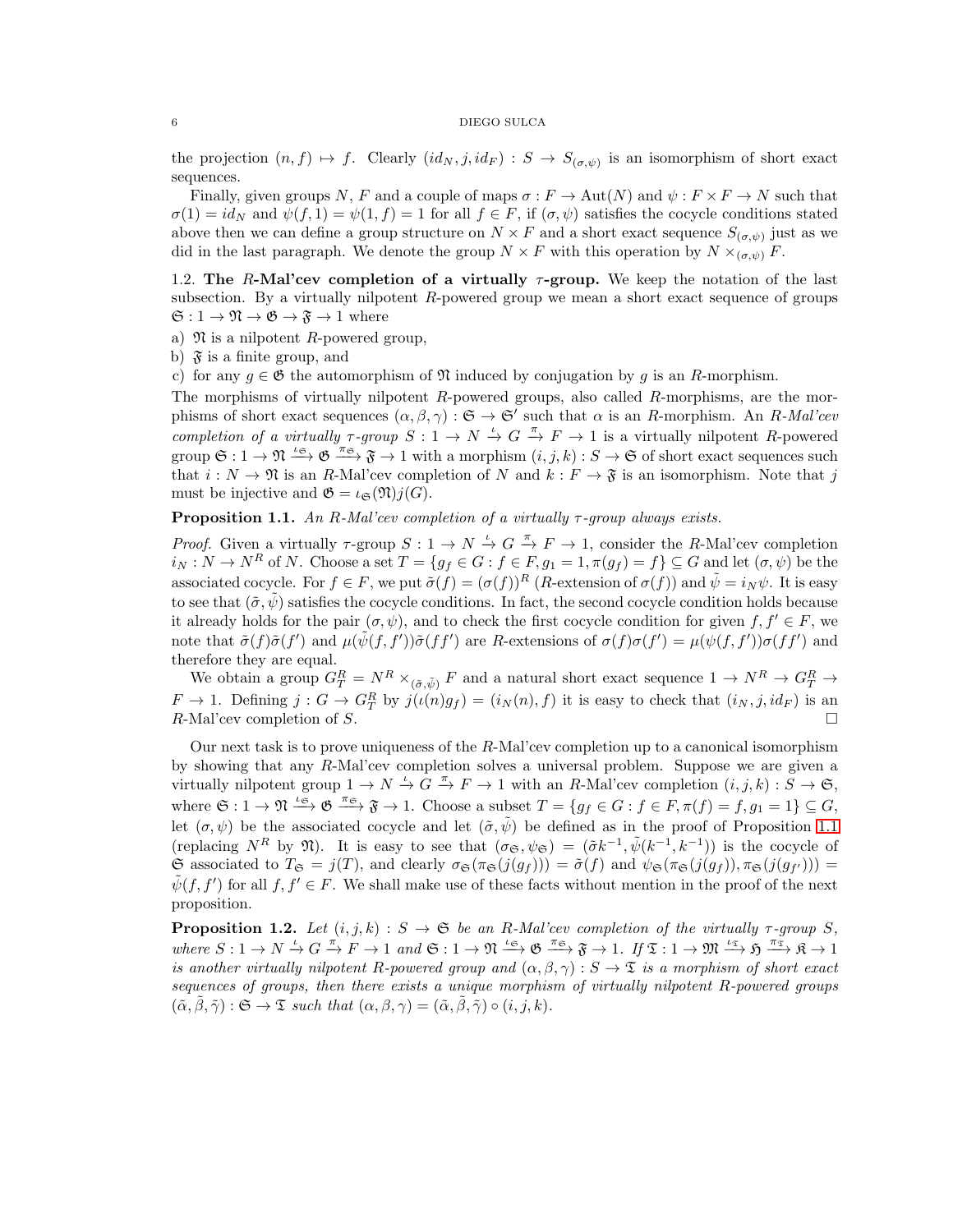the projection  $(n, f) \mapsto f$ . Clearly  $(id_N, j, id_F) : S \to S_{(\sigma, \psi)}$  is an isomorphism of short exact sequences.

Finally, given groups N, F and a couple of maps  $\sigma : F \to \text{Aut}(N)$  and  $\psi : F \times F \to N$  such that  $\sigma(1) = id_N$  and  $\psi(f, 1) = \psi(1, f) = 1$  for all  $f \in F$ , if  $(\sigma, \psi)$  satisfies the cocycle conditions stated above then we can define a group structure on  $N \times F$  and a short exact sequence  $S_{(\sigma,\psi)}$  just as we did in the last paragraph. We denote the group  $N \times F$  with this operation by  $N \times_{(\sigma,\psi)} F$ .

1.2. The R-Mal'cev completion of a virtually  $\tau$ -group. We keep the notation of the last subsection. By a virtually nilpotent R-powered group we mean a short exact sequence of groups  $\mathfrak{S}: 1 \to \mathfrak{N} \to \mathfrak{G} \to \mathfrak{F} \to 1$  where

a)  $\mathfrak{N}$  is a nilpotent R-powered group,

b)  $\mathfrak{F}$  is a finite group, and

c) for any  $g \in \mathfrak{G}$  the automorphism of  $\mathfrak{N}$  induced by conjugation by g is an R-morphism.

The morphisms of virtually nilpotent R-powered groups, also called R-morphisms, are the morphisms of short exact sequences  $(\alpha, \beta, \gamma) : \mathfrak{S} \to \mathfrak{S}'$  such that  $\alpha$  is an R-morphism. An R-Mal'cev completion of a virtually  $\tau$ -group  $S: 1 \to N \stackrel{\iota}{\to} G \stackrel{\pi}{\to} F \to 1$  is a virtually nilpotent R-powered group  $\mathfrak{S}: 1 \to \mathfrak{N} \xrightarrow{\iota_{\mathfrak{S}}} \mathfrak{G} \xrightarrow{\pi_{\mathfrak{S}}} \mathfrak{F} \to 1$  with a morphism  $(i, j, k): S \to \mathfrak{S}$  of short exact sequences such that  $i: N \to \mathfrak{N}$  is an R-Mal'cev completion of N and  $k: F \to \mathfrak{F}$  is an isomorphism. Note that j must be injective and  $\mathfrak{G} = \iota_{\mathfrak{S}}(\mathfrak{N})j(G)$ .

<span id="page-5-0"></span>**Proposition 1.1.** An R-Mal'cev completion of a virtually  $\tau$ -group always exists.

*Proof.* Given a virtually  $\tau$ -group  $S: 1 \to N \stackrel{\iota}{\to} G \stackrel{\pi}{\to} F \to 1$ , consider the R-Mal'cev completion  $i_N : N \to N^R$  of N. Choose a set  $T = \{g_f \in G : f \in F, g_1 = 1, \pi(g_f) = f\} \subseteq G$  and let  $(\sigma, \psi)$  be the associated cocycle. For  $f \in F$ , we put  $\tilde{\sigma}(f) = (\sigma(f))^R$  (*R*-extension of  $\sigma(f)$ ) and  $\tilde{\psi} = i_N \psi$ . It is easy to see that  $(\tilde{\sigma}, \tilde{\psi})$  satisfies the cocycle conditions. In fact, the second cocycle condition holds because it already holds for the pair  $(\sigma, \psi)$ , and to check the first cocycle condition for given  $f, f' \in F$ , we note that  $\tilde{\sigma}(f)\tilde{\sigma}(f')$  and  $\mu(\tilde{\psi}(f, f'))\tilde{\sigma}(ff')$  are R-extensions of  $\sigma(f)\sigma(f') = \mu(\psi(f, f'))\sigma(ff')$  and therefore they are equal.

We obtain a group  $G_T^R = N^R \times_{(\tilde{\sigma}, \tilde{\psi})} F$  and a natural short exact sequence  $1 \to N^R \to G_T^R \to$  $F \to 1$ . Defining  $j: G \to G_T^R$  by  $j(\iota(n)g_f) = (i_N(n), f)$  it is easy to check that  $(i_N, j, id_F)$  is an R-Mal'cev completion of S.

Our next task is to prove uniqueness of the  $R$ -Mal'cev completion up to a canonical isomorphism by showing that any R-Mal'cev completion solves a universal problem. Suppose we are given a virtually nilpotent group  $1 \to N \stackrel{\iota}{\to} G \stackrel{\pi}{\to} F \to 1$  with an R-Mal'cev completion  $(i, j, k) : S \to \mathfrak{S}$ , where  $\mathfrak{S}: 1 \to \mathfrak{N} \stackrel{\iota_{\mathfrak{S}}}{\longrightarrow} \mathfrak{G} \stackrel{\pi_{\mathfrak{S}}}{\longrightarrow} \mathfrak{F} \to 1$ . Choose a subset  $T = \{g_f \in G : f \in F, \pi(f) = f, g_1 = 1\} \subseteq G$ , let  $(\sigma, \psi)$  be the associated cocycle and let  $(\tilde{\sigma}, \tilde{\psi})$  be defined as in the proof of Proposition [1.1](#page-5-0) (replacing  $N^R$  by  $\mathfrak{N}$ ). It is easy to see that  $(\sigma_{\mathfrak{S}}, \psi_{\mathfrak{S}}) = (\tilde{\sigma}k^{-1}, \tilde{\psi}(k^{-1}, k^{-1}))$  is the cocycle of  $\mathfrak{S}$  associated to  $T_{\mathfrak{S}} = j(T)$ , and clearly  $\sigma_{\mathfrak{S}}(\pi_{\mathfrak{S}}(j(g_f))) = \tilde{\sigma}(f)$  and  $\psi_{\mathfrak{S}}(\pi_{\mathfrak{S}}(j(g_f)), \pi_{\mathfrak{S}}(j(g_{f'}))) =$  $\tilde{\psi}(f, f')$  for all  $f, f' \in F$ . We shall make use of these facts without mention in the proof of the next proposition.

<span id="page-5-1"></span>**Proposition 1.2.** Let  $(i, j, k) : S \to \mathfrak{S}$  be an R-Mal'cev completion of the virtually  $\tau$ -group S, where  $S: 1 \to N \stackrel{\iota}{\to} G \stackrel{\pi}{\to} F \to 1$  and  $\mathfrak{S}: 1 \to \mathfrak{N} \stackrel{\iota_{\mathfrak{S}}}{\to} \mathfrak{G} \to \mathfrak{F} \to 1$ . If  $\mathfrak{T}: 1 \to \mathfrak{M} \stackrel{\iota_{\mathfrak{T}}}{\to} \mathfrak{H} \stackrel{\pi_{\mathfrak{T}}}{\to} \mathfrak{K} \to 1$ is another virtually nilpotent R-powered group and  $(\alpha, \beta, \gamma) : S \to \mathfrak{T}$  is a morphism of short exact sequences of groups, then there exists a unique morphism of virtually nilpotent R-powered groups  $(\tilde{\alpha}, \beta, \tilde{\gamma}) : \mathfrak{S} \to \mathfrak{T}$  such that  $(\alpha, \beta, \gamma) = (\tilde{\alpha}, \beta, \tilde{\gamma}) \circ (i, j, k).$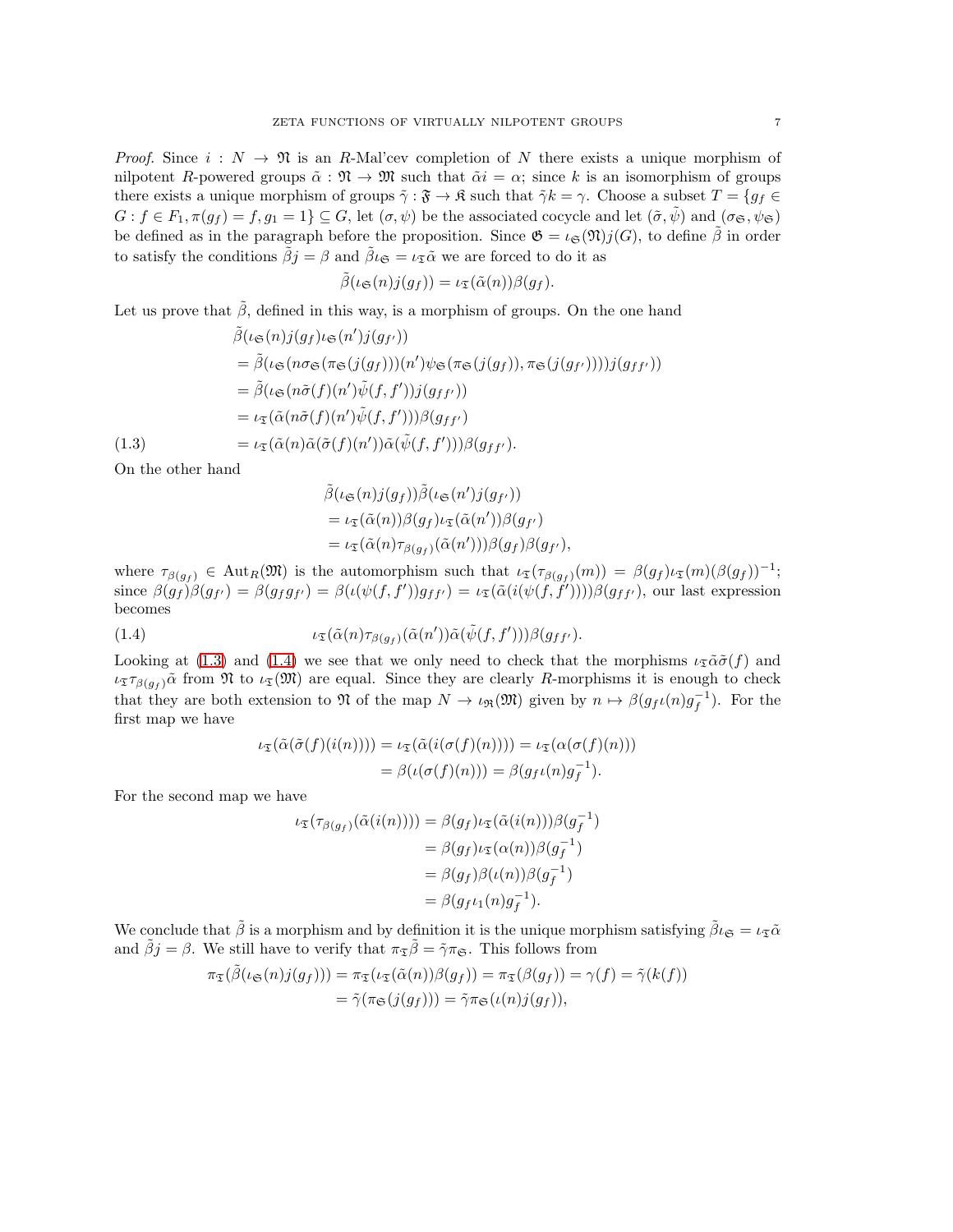*Proof.* Since  $i : N \to \mathfrak{N}$  is an R-Mal'cev completion of N there exists a unique morphism of nilpotent R-powered groups  $\tilde{\alpha} : \mathfrak{N} \to \mathfrak{M}$  such that  $\tilde{\alpha}i = \alpha$ ; since k is an isomorphism of groups there exists a unique morphism of groups  $\tilde{\gamma}$  :  $\tilde{\mathfrak{F}} \to \mathfrak{K}$  such that  $\tilde{\gamma}k = \gamma$ . Choose a subset  $T = \{g_f \in \mathfrak{F}\}$  $G: f \in F_1, \pi(g_f) = f, g_1 = 1$   $\subseteq G$ , let  $(\sigma, \psi)$  be the associated cocycle and let  $(\tilde{\sigma}, \tilde{\psi})$  and  $(\sigma_{\mathfrak{S}}, \psi_{\mathfrak{S}})$ be defined as in the paragraph before the proposition. Since  $\mathfrak{G} = \iota_{\mathfrak{S}}(\mathfrak{N})j(G)$ , to define  $\tilde{\beta}$  in order to satisfy the conditions  $\tilde{\beta}j = \beta$  and  $\tilde{\beta} \iota_{\mathfrak{S}} = \iota_{\tilde{\mathfrak{S}}} \tilde{\alpha}$  we are forced to do it as

$$
\tilde{\beta}(\iota_{\mathfrak{S}}(n)j(g_f)) = \iota_{\mathfrak{T}}(\tilde{\alpha}(n))\beta(g_f).
$$

Let us prove that  $\hat{\beta}$ , defined in this way, is a morphism of groups. On the one hand

$$
\tilde{\beta}(\iota_{\mathfrak{S}}(n)j(g_{f})\iota_{\mathfrak{S}}(n')j(g_{f'}))
$$
\n
$$
= \tilde{\beta}(\iota_{\mathfrak{S}}(n\sigma_{\mathfrak{S}}(\pi_{\mathfrak{S}}(j(g_{f})))(n')\psi_{\mathfrak{S}}(\pi_{\mathfrak{S}}(j(g_{f})), \pi_{\mathfrak{S}}(j(g_{f}))))j(g_{ff'}))
$$
\n
$$
= \tilde{\beta}(\iota_{\mathfrak{S}}(n\tilde{\sigma}(f)(n')\tilde{\psi}(f, f'))j(g_{ff'}))
$$
\n
$$
= \iota_{\mathfrak{T}}(\tilde{\alpha}(n\tilde{\sigma}(f)(n')\tilde{\psi}(f, f')))\beta(g_{ff'})
$$
\n(1.3)\n
$$
= \iota_{\mathfrak{T}}(\tilde{\alpha}(n)\tilde{\alpha}(\tilde{\sigma}(f)(n'))\tilde{\alpha}(\tilde{\psi}(f, f')))\beta(g_{ff'}).
$$

<span id="page-6-0"></span>On the other hand

$$
\tilde{\beta}(\iota_{\mathfrak{S}}(n)j(g_f))\tilde{\beta}(\iota_{\mathfrak{S}}(n')j(g_{f'}))
$$
\n
$$
= \iota_{\mathfrak{T}}(\tilde{\alpha}(n))\beta(g_f)\iota_{\mathfrak{T}}(\tilde{\alpha}(n'))\beta(g_{f'})
$$
\n
$$
= \iota_{\mathfrak{T}}(\tilde{\alpha}(n)\tau_{\beta(g_f)}(\tilde{\alpha}(n')))\beta(g_f)\beta(g_{f'}),
$$

where  $\tau_{\beta(g_f)} \in \text{Aut}_R(\mathfrak{M})$  is the automorphism such that  $\iota_{\mathfrak{T}}(\tau_{\beta(g_f)}(m)) = \beta(g_f) \iota_{\mathfrak{T}}(m) (\beta(g_f))^{-1}$ ; since  $\beta(g_f)\beta(g_{f'}) = \beta(g_f g_{f'}) = \beta(\iota(\psi(f, f'))g_{ff'}) = \iota_{\mathfrak{T}}(\tilde{\alpha}(\iota(\psi(f, f'))))\beta(g_{ff'})$ , our last expression becomes

<span id="page-6-1"></span>(1.4) 
$$
\iota_{\mathfrak{T}}(\tilde{\alpha}(n)\tau_{\beta(g_f)}(\tilde{\alpha}(n'))\tilde{\alpha}(\tilde{\psi}(f,f')))\beta(g_{ff'}).
$$

Looking at [\(1.3\)](#page-6-0) and [\(1.4\)](#page-6-1) we see that we only need to check that the morphisms  $\iota_{\tilde{\mathcal{I}}} \tilde{\alpha} \tilde{\sigma}(f)$  and  $\iota_{\mathfrak{T}\beta(q_f)}\tilde{\alpha}$  from  $\mathfrak{N}$  to  $\iota_{\mathfrak{T}}(\mathfrak{M})$  are equal. Since they are clearly R-morphisms it is enough to check that they are both extension to  $\mathfrak{N}$  of the map  $N \to \iota_{\mathfrak{R}}(\mathfrak{M})$  given by  $n \mapsto \beta(g_f\iota(n)g_f^{-1})$ . For the first map we have

$$
\iota_{\mathfrak{T}}(\tilde{\alpha}(\tilde{\sigma}(f)(i(n)))) = \iota_{\mathfrak{T}}(\tilde{\alpha}(i(\sigma(f)(n)))) = \iota_{\mathfrak{T}}(\alpha(\sigma(f)(n)))
$$

$$
= \beta(\iota(\sigma(f)(n))) = \beta(g_f \iota(n) g_f^{-1}).
$$

For the second map we have

$$
\iota_{\mathfrak{T}}(\tau_{\beta(g_f)}(\tilde{\alpha}(i(n)))) = \beta(g_f)\iota_{\mathfrak{T}}(\tilde{\alpha}(i(n)))\beta(g_f^{-1})
$$
  
=  $\beta(g_f)\iota_{\mathfrak{T}}(\alpha(n))\beta(g_f^{-1})$   
=  $\beta(g_f)\beta(\iota(n))\beta(g_f^{-1})$   
=  $\beta(g_f\iota_1(n)g_f^{-1}).$ 

We conclude that  $\tilde{\beta}$  is a morphism and by definition it is the unique morphism satisfying  $\tilde{\beta} \iota_{\mathfrak{S}} = \iota_{\mathfrak{S}} \tilde{\alpha}$ and  $\tilde{\beta}j = \beta$ . We still have to verify that  $\pi_{\tilde{\mathcal{I}}}\tilde{\beta} = \tilde{\gamma}\pi_{\mathfrak{S}}$ . This follows from

$$
\pi_{\mathfrak{T}}(\tilde{\beta}(\iota_{\mathfrak{S}}(n)j(g_f))) = \pi_{\mathfrak{T}}(\iota_{\mathfrak{T}}(\tilde{\alpha}(n))\beta(g_f)) = \pi_{\mathfrak{T}}(\beta(g_f)) = \gamma(f) = \tilde{\gamma}(k(f))
$$

$$
= \tilde{\gamma}(\pi_{\mathfrak{S}}(j(g_f))) = \tilde{\gamma}\pi_{\mathfrak{S}}(\iota(n)j(g_f)),
$$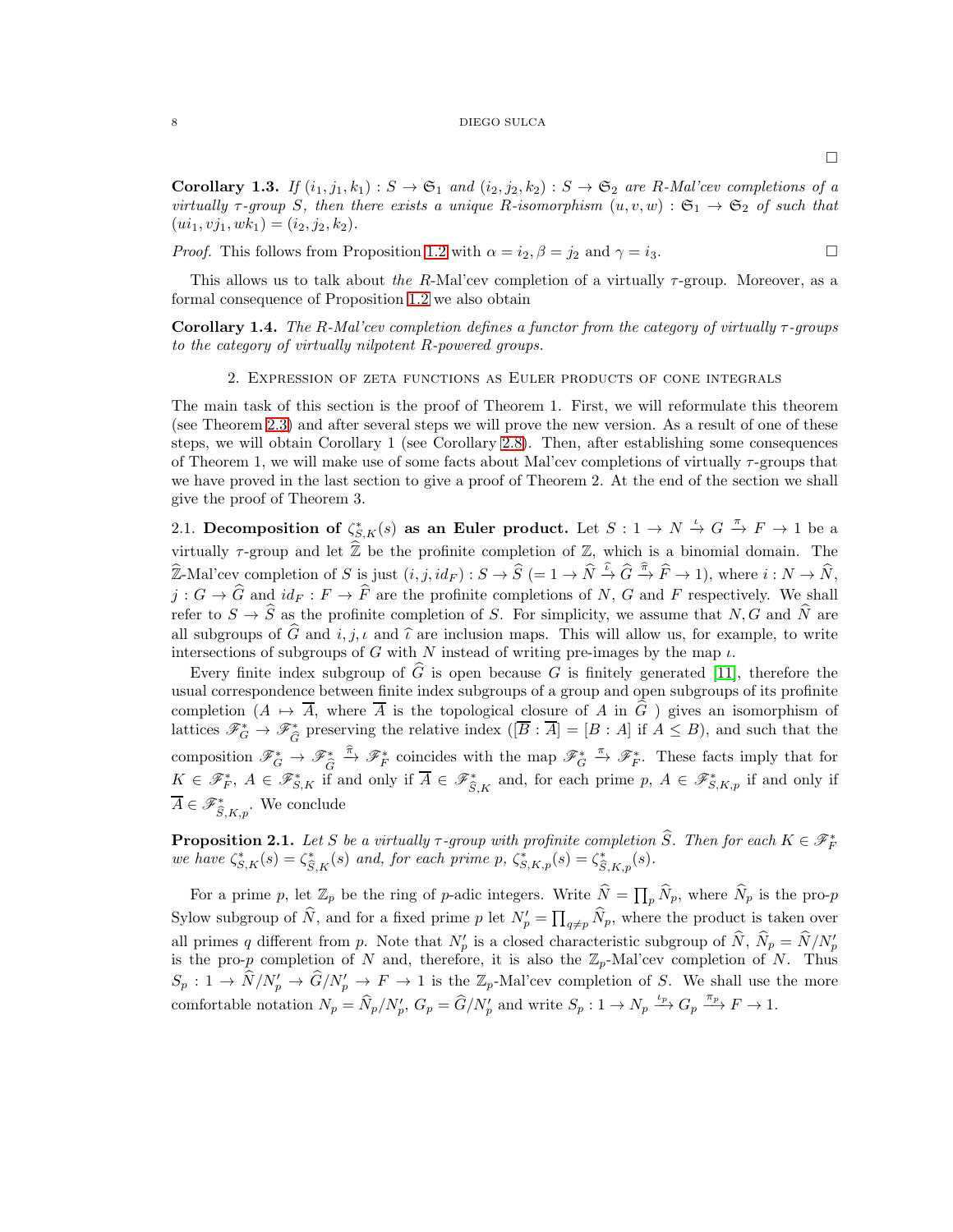**Corollary 1.3.** If  $(i_1, j_1, k_1) : S \to \mathfrak{S}_1$  and  $(i_2, j_2, k_2) : S \to \mathfrak{S}_2$  are R-Mal'cev completions of a virtually  $\tau$ -group S, then there exists a unique R-isomorphism  $(u, v, w) : \mathfrak{S}_1 \to \mathfrak{S}_2$  of such that  $(i_1, vj_1, wk_1) = (i_2, j_2, k_2).$ 

*Proof.* This follows from Proposition [1.2](#page-5-1) with  $\alpha = i_2, \beta = j_2$  and  $\gamma = i_3$ .

This allows us to talk about the R-Mal'cev completion of a virtually  $\tau$ -group. Moreover, as a formal consequence of Proposition [1.2](#page-5-1) we also obtain

<span id="page-7-1"></span>Corollary 1.4. The R-Mal'cev completion defines a functor from the category of virtually  $\tau$ -groups to the category of virtually nilpotent R-powered groups.

# 2. Expression of zeta functions as Euler products of cone integrals

The main task of this section is the proof of Theorem 1. First, we will reformulate this theorem (see Theorem [2.3\)](#page-8-0) and after several steps we will prove the new version. As a result of one of these steps, we will obtain Corollary 1 (see Corollary [2.8\)](#page-12-0). Then, after establishing some consequences of Theorem 1, we will make use of some facts about Mal'cev completions of virtually  $\tau$ -groups that we have proved in the last section to give a proof of Theorem 2. At the end of the section we shall give the proof of Theorem 3.

2.1. Decomposition of  $\zeta_{S,K}^*(s)$  as an Euler product. Let  $S: 1 \to N \stackrel{\iota}{\to} G \stackrel{\pi}{\to} F \to 1$  be a virtually  $\tau$ -group and let  $\hat{\mathbb{Z}}$  be the profinite completion of  $\mathbb{Z}$ , which is a binomial domain. The  $\widehat{\mathbb{Z}}$ -Mal'cev completion of S is just  $(i, j, id_F) : S \to \widehat{S} \ (= 1 \to \widehat{N} \stackrel{\widehat{\iota}}{\to} \widehat{G} \stackrel{\widehat{\pi}}{\to} \widehat{F} \to 1)$ , where  $i : N \to \widehat{N}$ ,  $j: G \to \widehat{G}$  and  $id_F : F \to \widehat{F}$  are the profinite completions of N, G and F respectively. We shall refer to  $S \to \widehat{S}$  as the profinite completion of S. For simplicity, we assume that N, G and  $\widehat{N}$  are all subgroups of  $\widehat{G}$  and  $i, j, \iota$  and  $\widehat{\iota}$  are inclusion maps. This will allow us, for example, to write intersections of subgroups of G with N instead of writing pre-images by the map  $\iota$ .

Every finite index subgroup of  $\widehat{G}$  is open because G is finitely generated [\[11\]](#page-16-10), therefore the usual correspondence between finite index subgroups of a group and open subgroups of its profinite completion  $(A \mapsto \overline{A})$ , where  $\overline{A}$  is the topological closure of A in  $\overline{G}$  ) gives an isomorphism of lattices  $\mathscr{F}_G^* \to \mathscr{F}_{\widehat{G}}^*$  preserving the relative index  $([\overline{B} : \overline{A}] = [B : A]$  if  $A \leq B$ ), and such that the composition  $\mathscr{F}_G^* \to \mathscr{F}_{\widehat{G}}^* \xrightarrow{\widehat{\pi}} \mathscr{F}_F^*$  coincides with the map  $\mathscr{F}_G^* \xrightarrow{\pi} \mathscr{F}_F^*$ . These facts imply that for  $K \in \mathscr{F}_{F}^*$ ,  $A \in \mathscr{F}_{S,K}^*$  if and only if  $\overline{A} \in \mathscr{F}_{\widehat{S},K}^*$  and, for each prime  $p, A \in \mathscr{F}_{S,K,p}^*$  if and only if  $\overline{A} \in \mathscr{F}_{\widehat{S},K,p}^*$ . We conclude

<span id="page-7-0"></span>**Proposition 2.1.** Let S be a virtually  $\tau$ -group with profinite completion  $\widehat{S}$ . Then for each  $K \in \mathscr{F}_{F}^{*}$  we have  $\zeta_{S,K}^{*}(s) = \zeta_{\widehat{S},K}^{*}(s)$  and, for each prime  $p$ ,  $\zeta_{S,K,p}^{*}(s) = \zeta_{\widehat{S},K,p}^{*}(s)$ .

For a prime p, let  $\mathbb{Z}_p$  be the ring of p-adic integers. Write  $\widehat{N} = \prod_p \widehat{N}_p$ , where  $\widehat{N}_p$  is the pro-p Sylow subgroup of  $\widehat{N}$ , and for a fixed prime p let  $N'_{p} = \prod_{q \neq p} \widehat{N}_{p}$ , where the product is taken over all primes q different from p. Note that  $N'_p$  is a closed characteristic subgroup of  $\hat{N}$ ,  $\hat{N}_p = \hat{N} / N'_p$ is the pro-p completion of N and, therefore, it is also the  $\mathbb{Z}_p$ -Mal'cev completion of N. Thus  $S_p: 1 \to \hat{N}/N'_p \to \hat{G}/N'_p \to F \to 1$  is the  $\mathbb{Z}_p$ -Mal'cev completion of S. We shall use the more comfortable notation  $N_p = \hat{N}_p/N'_p$ ,  $G_p = \hat{G}/N'_p$  and write  $S_p : 1 \to N_p \xrightarrow{\iota_p} G_p \xrightarrow{\pi_p} F \to 1$ .

 $\Box$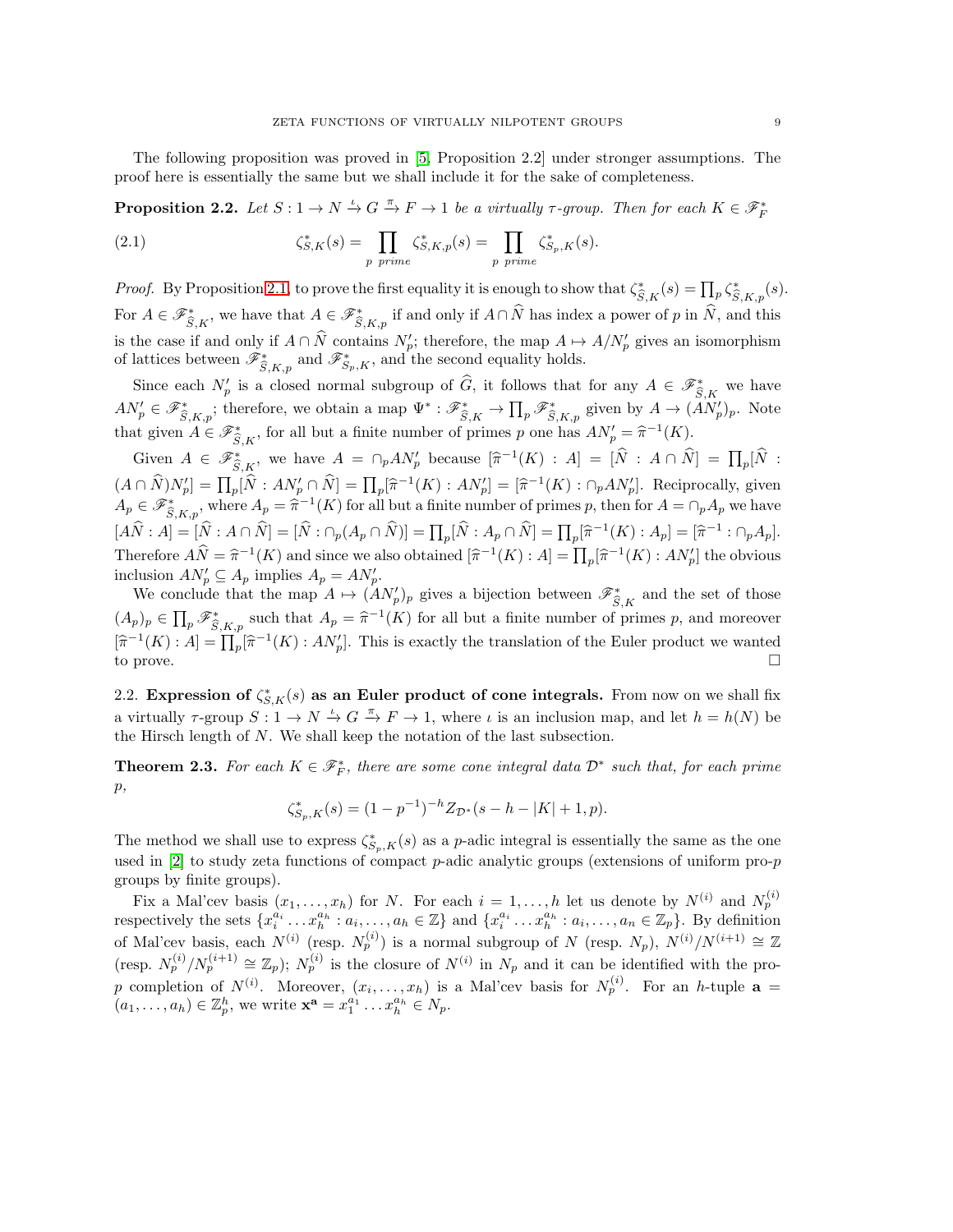The following proposition was proved in [\[5,](#page-16-3) Proposition 2.2] under stronger assumptions. The proof here is essentially the same but we shall include it for the sake of completeness.

<span id="page-8-1"></span>**Proposition 2.2.** Let  $S: 1 \to N \stackrel{\iota}{\to} G \stackrel{\pi}{\to} F \to 1$  be a virtually  $\tau$ -group. Then for each  $K \in \mathscr{F}_F^*$ 

(2.1) 
$$
\zeta_{S,K}^*(s) = \prod_{p \ prime} \zeta_{S,K,p}^*(s) = \prod_{p \ prime} \zeta_{S_p,K}^*(s).
$$

*Proof.* By Proposition [2.1,](#page-7-0) to prove the first equality it is enough to show that  $\zeta_{\widehat{S},K}(s) = \prod_p \zeta_{\widehat{S},K,p}^*(s)$ . For  $A \in \mathscr{F}_{\widehat{S},K}^*$ , we have that  $A \in \mathscr{F}_{\widehat{S},K,p}^*$  if and only if  $A \cap \widehat{N}$  has index a power of p in  $\widehat{N}$ , and this is the case if and only if  $A \cap N$  contains  $N'_{p}$ ; therefore, the map  $A \mapsto A/N'_{p}$  gives an isomorphism of lattices between  $\mathscr{F}_{\widehat{S},K,p}^*$  and  $\mathscr{F}_{S_p,K}^*$ , and the second equality holds.

Since each  $N'_p$  is a closed normal subgroup of  $\widehat{G}$ , it follows that for any  $A \in \mathscr{F}_{\widehat{S},K}^*$  we have  $AN'_p \in \mathscr{F}_{\widehat{S},K,p}^*$ ; therefore, we obtain a map  $\Psi^* : \mathscr{F}_{\widehat{S},K}^* \to \prod_p \mathscr{F}_{\widehat{S},K,p}^*$  given by  $A \to (AN'_p)_p$ . Note that given  $A \in \mathscr{F}_{\widehat{S},K}^*$ , for all but a finite number of primes p one has  $AN'_p = \widehat{\pi}^{-1}(K)$ .

Given  $A \in \mathscr{F}_{\widehat{S},K}^*$ , we have  $A = \bigcap_p A N'_p$  because  $[\widehat{\pi}^{-1}(K) : A] = [\widehat{N} : A \cap \widehat{N}] = \prod_p [\widehat{N} : A \cap \widehat{N}]$  $(A \cap \hat{N})N'_{p} = \prod_{p} [\hat{N} : AN'_{p} \cap \hat{N}] = \prod_{p} [\hat{\pi}^{-1}(K) : AN'_{p}] = [\hat{\pi}^{-1}(K) : \cap_{p} AN'_{p}].$  Reciprocally, given  $A_p \in \mathscr{F}_{\widehat{S},K,p}^*$ , where  $A_p = \widehat{\pi}^{-1}(K)$  for all but a finite number of primes p, then for  $A = \cap_p A_p$  we have  $[A\widehat{N}: A] = [\widehat{N}: A \cap \widehat{N}] = [\widehat{N}: \cap_p(A_p \cap \widehat{N})] = \prod_p [\widehat{N}: A_p \cap \widehat{N}] = \prod_p [\widehat{\pi}^{-1}(K): A_p] = [\widehat{\pi}^{-1}: \cap_p A_p].$ Therefore  $A\widehat{N} = \widehat{\pi}^{-1}(K)$  and since we also obtained  $[\widehat{\pi}^{-1}(K) : A] = \prod_{p} [\widehat{\pi}^{-1}(K) : A N'_{p}]$  the obvious inclusion  $AN'_p \subseteq A_p$  implies  $A_p = AN'_p$ .

We conclude that the map  $A \mapsto (A N'_p)_p$  gives a bijection between  $\mathscr{F}_{\widehat{S},K}^*$  and the set of those  $(A_p)_p \in \prod_p \mathscr{F}_{\widehat{S},K,p}^*$  such that  $A_p = \widehat{\pi}^{-1}(K)$  for all but a finite number of primes p, and moreover  $[\widehat{\pi}^{-1}(K):A]=\prod_{p}[\widehat{\pi}^{-1}(K):AN'_{p}].$  This is exactly the translation of the Euler product we wanted to prove.  $\square$ 

2.2. Expression of  $\zeta_{S,K}^*(s)$  as an Euler product of cone integrals. From now on we shall fix a virtually  $\tau$ -group  $S: 1 \to N \stackrel{\iota}{\to} G \stackrel{\pi}{\to} F \to 1$ , where  $\iota$  is an inclusion map, and let  $h = h(N)$  be the Hirsch length of N. We shall keep the notation of the last subsection.

<span id="page-8-0"></span>**Theorem 2.3.** For each  $K \in \mathcal{F}_F^*$ , there are some cone integral data  $\mathcal{D}^*$  such that, for each prime  $p,$ 

$$
\zeta_{S_p,K}^*(s) = (1 - p^{-1})^{-h} Z_{\mathcal{D}^*}(s - h - |K| + 1, p).
$$

The method we shall use to express  $\zeta_{S_p,K}^*(s)$  as a p-adic integral is essentially the same as the one used in  $[2]$  to study zeta functions of compact p-adic analytic groups (extensions of uniform pro-p groups by finite groups).

Fix a Mal'cev basis  $(x_1, \ldots, x_h)$  for N. For each  $i = 1, \ldots, h$  let us denote by  $N^{(i)}$  and  $N_p^{(i)}$ respectively the sets  $\{x_i^{a_i} \dots x_h^{a_h} : a_i, \dots, a_h \in \mathbb{Z}\}\$  and  $\{x_i^{a_i} \dots x_h^{a_h} : a_i, \dots, a_n \in \mathbb{Z}_p\}$ . By definition of Mal'cev basis, each  $N^{(i)}$  (resp.  $N_p^{(i)}$ ) is a normal subgroup of N (resp.  $N_p$ ),  $N^{(i)}/N^{(i+1)} \cong \mathbb{Z}$ (resp.  $N_p^{(i)}/N_p^{(i+1)} \cong \mathbb{Z}_p$ );  $N_p^{(i)}$  is the closure of  $N^{(i)}$  in  $N_p$  and it can be identified with the prop completion of  $N^{(i)}$ . Moreover,  $(x_i, \ldots, x_h)$  is a Mal'cev basis for  $N_p^{(i)}$ . For an h-tuple  $\mathbf{a} =$  $(a_1, \ldots, a_h) \in \mathbb{Z}_p^h$ , we write  $\mathbf{x}^{\mathbf{a}} = x_1^{a_1} \ldots x_h^{a_h} \in N_p$ .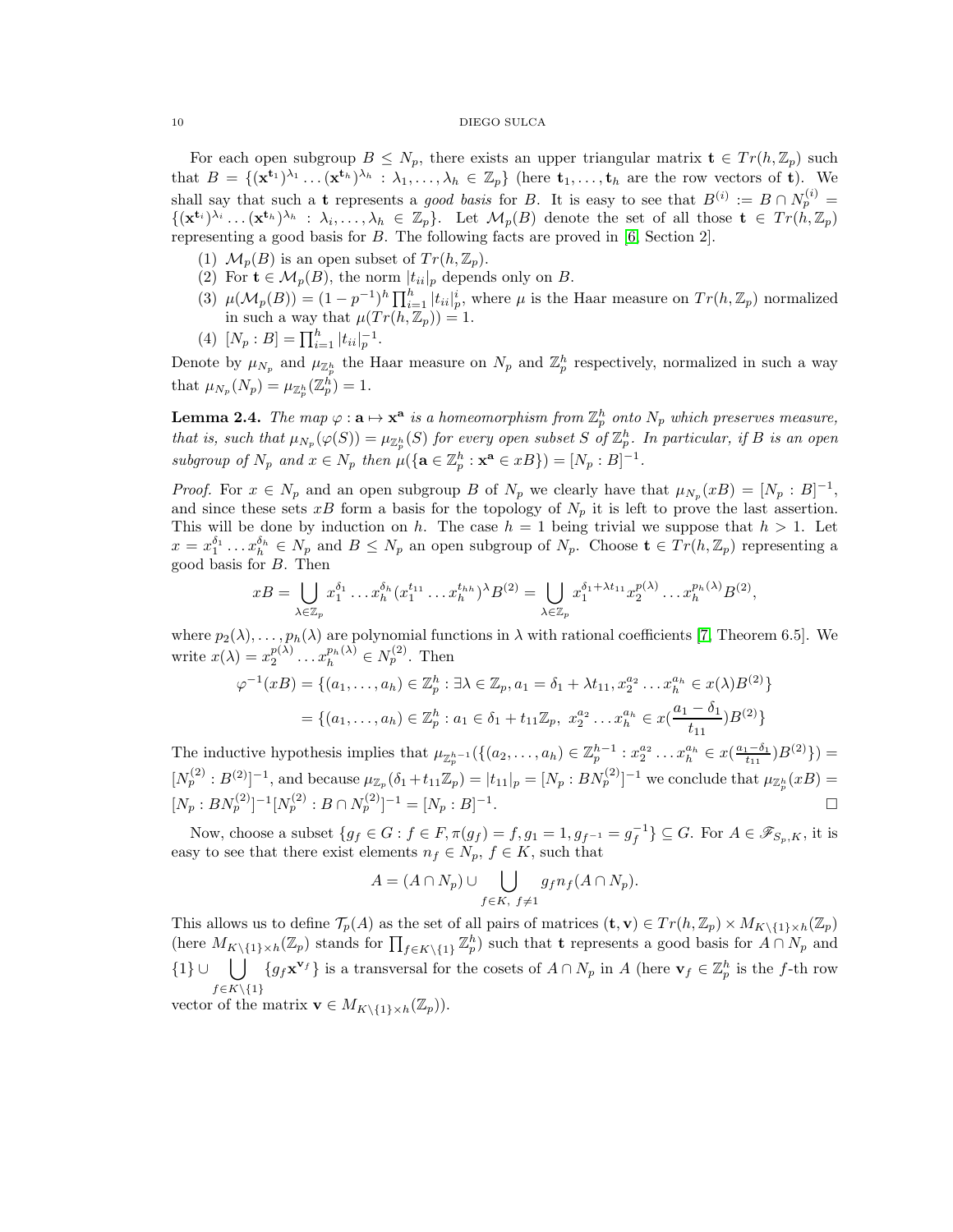For each open subgroup  $B \leq N_p$ , there exists an upper triangular matrix  $\mathbf{t} \in Tr(h, \mathbb{Z}_p)$  such that  $B = \{(\mathbf{x}^{t_1})^{\lambda_1} \dots (\mathbf{x}^{t_h})^{\lambda_h} : \lambda_1, \dots, \lambda_h \in \mathbb{Z}_p\}$  (here  $t_1, \dots, t_h$  are the row vectors of t). We shall say that such a t represents a good basis for B. It is easy to see that  $B^{(i)} := B \cap N_p^{(i)} =$  $\{(\mathbf{x}^{t_i})^{\lambda_i} \dots (\mathbf{x}^{t_h})^{\lambda_h} : \lambda_i, \dots, \lambda_h \in \mathbb{Z}_p\}.$  Let  $\mathcal{M}_p(B)$  denote the set of all those  $\mathbf{t} \in Tr(h, \mathbb{Z}_p)$ representing a good basis for B. The following facts are proved in [\[6,](#page-16-0) Section 2].

- (1)  $\mathcal{M}_p(B)$  is an open subset of  $Tr(h, \mathbb{Z}_p)$ .
- (2) For  $\mathbf{t} \in \mathcal{M}_p(B)$ , the norm  $|t_{ii}|_p$  depends only on B.
- (3)  $\mu(\mathcal{M}_p(B)) = (1 p^{-1})^h \prod_{i=1}^h |t_{ii}|_p^i$ , where  $\mu$  is the Haar measure on  $Tr(h, \mathbb{Z}_p)$  normalized in such a way that  $\mu(Tr(h, \mathbb{Z}_p)) = 1$ .
- (4)  $[N_p : B] = \prod_{i=1}^h |t_{ii}|_p^{-1}.$

Denote by  $\mu_{N_p}$  and  $\mu_{\mathbb{Z}_p^h}$  the Haar measure on  $N_p$  and  $\mathbb{Z}_p^h$  respectively, normalized in such a way that  $\mu_{N_p}(N_p) = \mu_{\mathbb{Z}_p^h}(\mathbb{Z}_p^h) = 1.$ 

<span id="page-9-0"></span>**Lemma 2.4.** The map  $\varphi : \mathbf{a} \mapsto \mathbf{x}^{\mathbf{a}}$  is a homeomorphism from  $\mathbb{Z}_p^h$  onto  $N_p$  which preserves measure, that is, such that  $\mu_{N_p}(\varphi(S)) = \mu_{\mathbb{Z}_p^h}(S)$  for every open subset S of  $\mathbb{Z}_p^h$ . In particular, if B is an open subgroup of  $N_p$  and  $x \in N_p$  then  $\mu({\{a \in \mathbb{Z}_p^h : \mathbf{x}^a \in xB\}}) = [N_p : B]^{-1}$ .

*Proof.* For  $x \in N_p$  and an open subgroup B of  $N_p$  we clearly have that  $\mu_{N_p}(xB) = [N_p : B]^{-1}$ , and since these sets xB form a basis for the topology of  $N_p$  it is left to prove the last assertion. This will be done by induction on h. The case  $h = 1$  being trivial we suppose that  $h > 1$ . Let  $x = x_1^{\delta_1} \dots x_h^{\delta_h} \in N_p$  and  $B \le N_p$  an open subgroup of  $N_p$ . Choose  $\mathbf{t} \in Tr(h, \mathbb{Z}_p)$  representing a good basis for  $B$ . Then

$$
xB=\bigcup_{\lambda\in\mathbb{Z}_p}x_1^{\delta_1}\dots x_h^{\delta_h}(x_1^{t_{11}}\dots x_h^{t_{hh}})^{\lambda}B^{(2)}=\bigcup_{\lambda\in\mathbb{Z}_p}x_1^{\delta_1+\lambda t_{11}}x_2^{p(\lambda)}\dots x_h^{p_h(\lambda)}B^{(2)},
$$

where  $p_2(\lambda), \ldots, p_h(\lambda)$  are polynomial functions in  $\lambda$  with rational coefficients [\[7,](#page-16-9) Theorem 6.5]. We write  $x(\lambda) = x_2^{p(\lambda)} \dots x_h^{p_h(\lambda)} \in N_p^{(2)}$ . Then

$$
\varphi^{-1}(xB) = \{ (a_1, \dots, a_h) \in \mathbb{Z}_p^h : \exists \lambda \in \mathbb{Z}_p, a_1 = \delta_1 + \lambda t_{11}, x_2^{a_2} \dots x_h^{a_h} \in x(\lambda)B^{(2)} \}
$$
  
=  $\{ (a_1, \dots, a_h) \in \mathbb{Z}_p^h : a_1 \in \delta_1 + t_{11}\mathbb{Z}_p, x_2^{a_2} \dots x_h^{a_h} \in x(\frac{a_1 - \delta_1}{t_{11}})B^{(2)} \}$ 

The inductive hypothesis implies that  $\mu_{\mathbb{Z}_p^{h-1}}(\{(a_2,\ldots,a_h)\in \mathbb{Z}_p^{h-1}: x_2^{a_2}\ldots x_h^{a_h}\in x(\frac{a_1-\delta_1}{t_{11}})B^{(2)}\})=$  $[N_p^{(2)}:B^{(2)}]^{-1}$ , and because  $\mu_{\mathbb{Z}_p}(\delta_1+t_{11}\mathbb{Z}_p) = |t_{11}|_p = [N_p:BN_p^{(2)}]^{-1}$  we conclude that  $\mu_{\mathbb{Z}_p^h}(xB) =$  $[N_p : BN_p^{(2)}]^{-1} [N_p^{(2)} : B \cap N_p^{(2)}]^{-1} = [N_p : B]^{-1}$ .

Now, choose a subset  $\{g_f \in G : f \in F, \pi(g_f) = f, g_1 = 1, g_{f^{-1}} = g_f^{-1}\} \subseteq G$ . For  $A \in \mathscr{F}_{S_p, K}$ , it is easy to see that there exist elements  $n_f \in N_p$ ,  $f \in K$ , such that

$$
A = (A \cap N_p) \cup \bigcup_{f \in K, f \neq 1} g_f n_f (A \cap N_p).
$$

This allows us to define  $\mathcal{T}_p(A)$  as the set of all pairs of matrices  $(\mathbf{t}, \mathbf{v}) \in Tr(h, \mathbb{Z}_p) \times M_{K\setminus\{1\}\times h}(\mathbb{Z}_p)$ (here  $M_{K\setminus\{1\}\times h}(\mathbb{Z}_p)$  stands for  $\prod_{f\in K\setminus\{1\}}\mathbb{Z}_p^h$ ) such that t represents a good basis for  $A\cap N_p$  and {1} ∪  $\bigcup$  {gfx<sup>vf}</sup>} is a transversal for the cosets of  $A \cap N_p$  in A (here  $\mathbf{v}_f \in \mathbb{Z}_p^h$  is the f-th row  $f\in K\backslash\{1\}$ 

vector of the matrix  $\mathbf{v} \in M_{K \setminus \{1\} \times h}(\mathbb{Z}_p)).$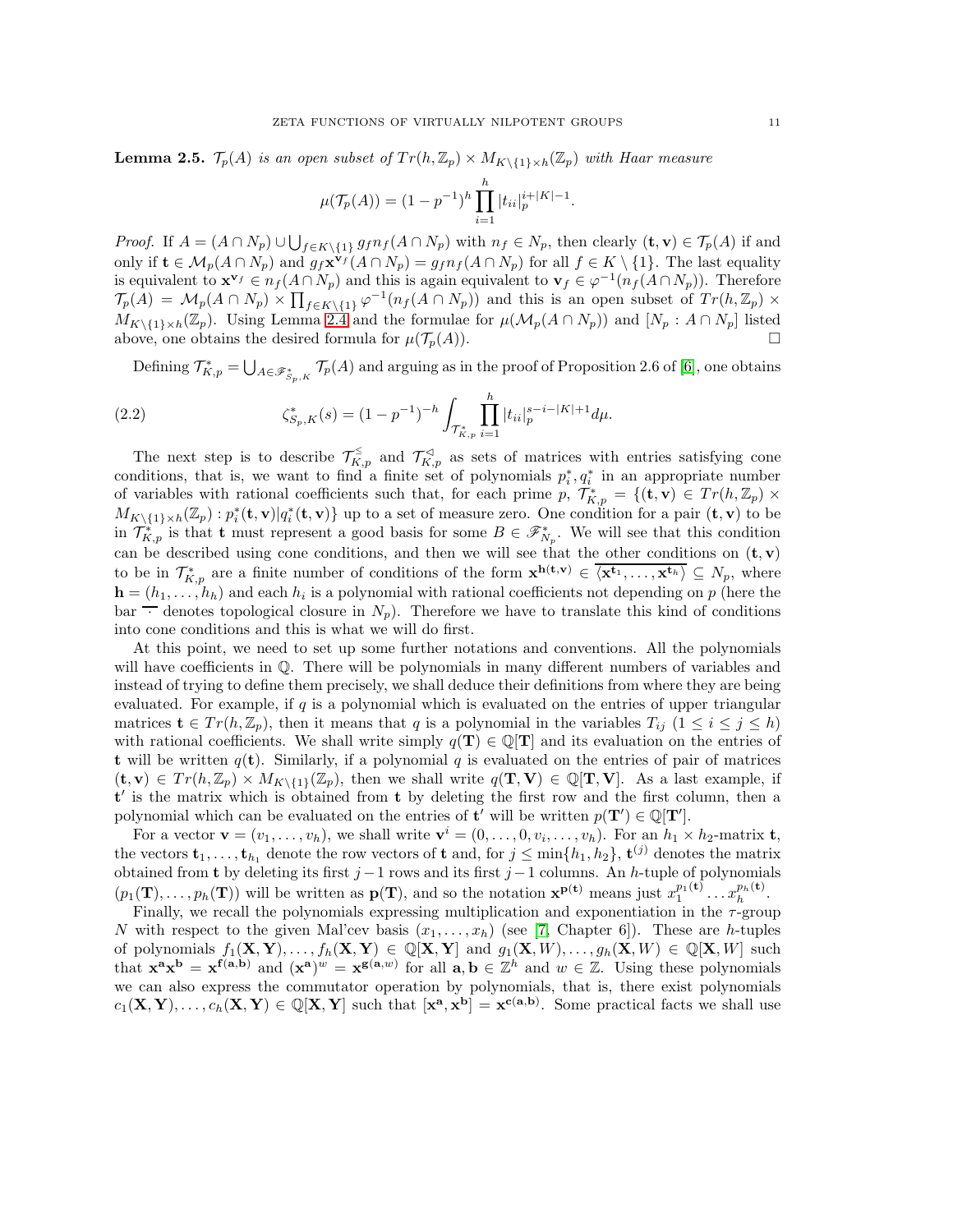**Lemma 2.5.**  $\mathcal{T}_p(A)$  is an open subset of  $Tr(h, \mathbb{Z}_p) \times M_{K\setminus\{1\}\times h}(\mathbb{Z}_p)$  with Haar measure

$$
\mu(\mathcal{T}_p(A)) = (1 - p^{-1})^h \prod_{i=1}^h |t_{ii}|_p^{i+|K|-1}.
$$

*Proof.* If  $A = (A \cap N_p) \cup \bigcup_{f \in K \setminus \{1\}} g_f n_f(A \cap N_p)$  with  $n_f \in N_p$ , then clearly  $(\mathbf{t}, \mathbf{v}) \in \mathcal{T}_p(A)$  if and only if  $\mathbf{t} \in \mathcal{M}_p(A \cap N_p)$  and  $g_f \mathbf{x}^{\mathbf{v}_f}(A \cap N_p) = g_f n_f(A \cap N_p)$  for all  $f \in K \setminus \{1\}$ . The last equality is equivalent to  $\mathbf{x}^{\mathbf{v}_f} \in n_f(A \cap N_p)$  and this is again equivalent to  $\mathbf{v}_f \in \varphi^{-1}(n_f(A \cap N_p))$ . Therefore  $\mathcal{T}_p(A) = \mathcal{M}_p(A \cap N_p) \times \prod_{f \in K \setminus \{1\}} \varphi^{-1}(n_f(A \cap N_p))$  and this is an open subset of  $Tr(h, \mathbb{Z}_p) \times$  $M_{K\setminus\{1\}\times h}(\mathbb{Z}_p)$ . Using Lemma [2.4](#page-9-0) and the formulae for  $\mu(\mathcal{M}_p(A \cap N_p))$  and  $[N_p : A \cap N_p]$  listed above, one obtains the desired formula for  $\mu(\mathcal{T}_p(A))$ .

<span id="page-10-0"></span>Defining  $\mathcal{T}_{K,p}^* = \bigcup_{A \in \mathscr{F}_{S_p,K}^*} \mathcal{T}_p(A)$  and arguing as in the proof of Proposition 2.6 of [\[6\]](#page-16-0), one obtains

(2.2) 
$$
\zeta_{S_p,K}^*(s) = (1 - p^{-1})^{-h} \int_{\mathcal{T}_{K,p}^*} \prod_{i=1}^h |t_{ii}|_p^{s-i-|K|+1} d\mu.
$$

The next step is to describe  $\mathcal{T}_{K,p}^{\leq}$  and  $\mathcal{T}_{K,p}^{\prec}$  as sets of matrices with entries satisfying cone conditions, that is, we want to find a finite set of polynomials  $p_i^*, q_i^*$  in an appropriate number of variables with rational coefficients such that, for each prime  $p, \ T^*_{K,p} = \{(\mathbf{t}, \mathbf{v}) \in Tr(h, \mathbb{Z}_p) \times$  $M_{K\setminus\{1\}\times h}(\mathbb{Z}_p): p_i^*(\mathbf{t}, \mathbf{v}) | q_i^*(\mathbf{t}, \mathbf{v})\}$  up to a set of measure zero. One condition for a pair  $(\mathbf{t}, \mathbf{v})$  to be in  $\mathcal{T}_{K,p}^*$  is that t must represent a good basis for some  $B \in \mathscr{F}_{N_p}^*$ . We will see that this condition can be described using cone conditions, and then we will see that the other conditions on  $(t, v)$ to be in  $\mathcal{T}_{K,p}^*$  are a finite number of conditions of the form  $\mathbf{x}^{\mathbf{h}(\mathbf{t},\mathbf{v})} \in \overline{\langle \mathbf{x}^{\mathbf{t}_1}, \ldots, \mathbf{x}^{\mathbf{t}_h} \rangle} \subseteq N_p$ , where  $\mathbf{h} = (h_1, \ldots, h_h)$  and each  $h_i$  is a polynomial with rational coefficients not depending on p (here the  $bar$  · denotes topological closure in  $N_p$ ). Therefore we have to translate this kind of conditions into cone conditions and this is what we will do first.

At this point, we need to set up some further notations and conventions. All the polynomials will have coefficients in Q. There will be polynomials in many different numbers of variables and instead of trying to define them precisely, we shall deduce their definitions from where they are being evaluated. For example, if  $q$  is a polynomial which is evaluated on the entries of upper triangular matrices  $\mathbf{t} \in Tr(h, \mathbb{Z}_p)$ , then it means that q is a polynomial in the variables  $T_{ij}$   $(1 \leq i \leq j \leq h)$ with rational coefficients. We shall write simply  $q(T) \in \mathbb{Q}[T]$  and its evaluation on the entries of **t** will be written  $q(t)$ . Similarly, if a polynomial q is evaluated on the entries of pair of matrices  $(\mathbf{t}, \mathbf{v}) \in Tr(h, \mathbb{Z}_p) \times M_{K \setminus \{1\}}(\mathbb{Z}_p)$ , then we shall write  $q(\mathbf{T}, \mathbf{V}) \in \mathbb{Q}[\mathbf{T}, \mathbf{V}]$ . As a last example, if t ′ is the matrix which is obtained from t by deleting the first row and the first column, then a polynomial which can be evaluated on the entries of  $\mathbf{t}'$  will be written  $p(\mathbf{T}') \in \mathbb{Q}[\mathbf{T}']$ .

For a vector  $\mathbf{v} = (v_1, \ldots, v_h)$ , we shall write  $\mathbf{v}^i = (0, \ldots, 0, v_i, \ldots, v_h)$ . For an  $h_1 \times h_2$ -matrix **t**, the vectors  $\mathbf{t}_1, \ldots, \mathbf{t}_{h_1}$  denote the row vectors of  $\mathbf{t}$  and, for  $j \leq \min\{h_1, h_2\}, \mathbf{t}^{(j)}$  denotes the matrix obtained from t by deleting its first  $j-1$  rows and its first  $j-1$  columns. An h-tuple of polynomials  $(p_1(\mathbf{T}), \ldots, p_h(\mathbf{T}))$  will be written as  $\mathbf{p}(\mathbf{T})$ , and so the notation  $\mathbf{x}^{\mathbf{p}(\mathbf{t})}$  means just  $x_1^{p_1(\mathbf{t})} \ldots x_h^{p_h(\mathbf{t})}$ .

Finally, we recall the polynomials expressing multiplication and exponentiation in the τ-group N with respect to the given Mal'cev basis  $(x_1, \ldots, x_h)$  (see [\[7,](#page-16-9) Chapter 6]). These are h-tuples of polynomials  $f_1(\mathbf{X}, \mathbf{Y}), \ldots, f_h(\mathbf{X}, \mathbf{Y}) \in \mathbb{Q}[\mathbf{X}, \mathbf{Y}]$  and  $g_1(\mathbf{X}, W), \ldots, g_h(\mathbf{X}, W) \in \mathbb{Q}[\mathbf{X}, W]$  such that  $\mathbf{x}^{\mathbf{a}} \mathbf{x}^{\mathbf{b}} = \mathbf{x}^{\mathbf{f}(\mathbf{a}, \mathbf{b})}$  and  $(\mathbf{x}^{\mathbf{a}})^w = \mathbf{x}^{\mathbf{g}(\mathbf{a}, w)}$  for all  $\mathbf{a}, \mathbf{b} \in \mathbb{Z}^h$  and  $w \in \mathbb{Z}$ . Using these polynomials we can also express the commutator operation by polynomials, that is, there exist polynomials  $c_1(\mathbf{X}, \mathbf{Y}), \ldots, c_h(\mathbf{X}, \mathbf{Y}) \in \mathbb{Q}[\mathbf{X}, \mathbf{Y}]$  such that  $[\mathbf{x}^{\mathbf{a}}, \mathbf{x}^{\mathbf{b}}] = \mathbf{x}^{\mathbf{c}(\mathbf{a}, \mathbf{b})}$ . Some practical facts we shall use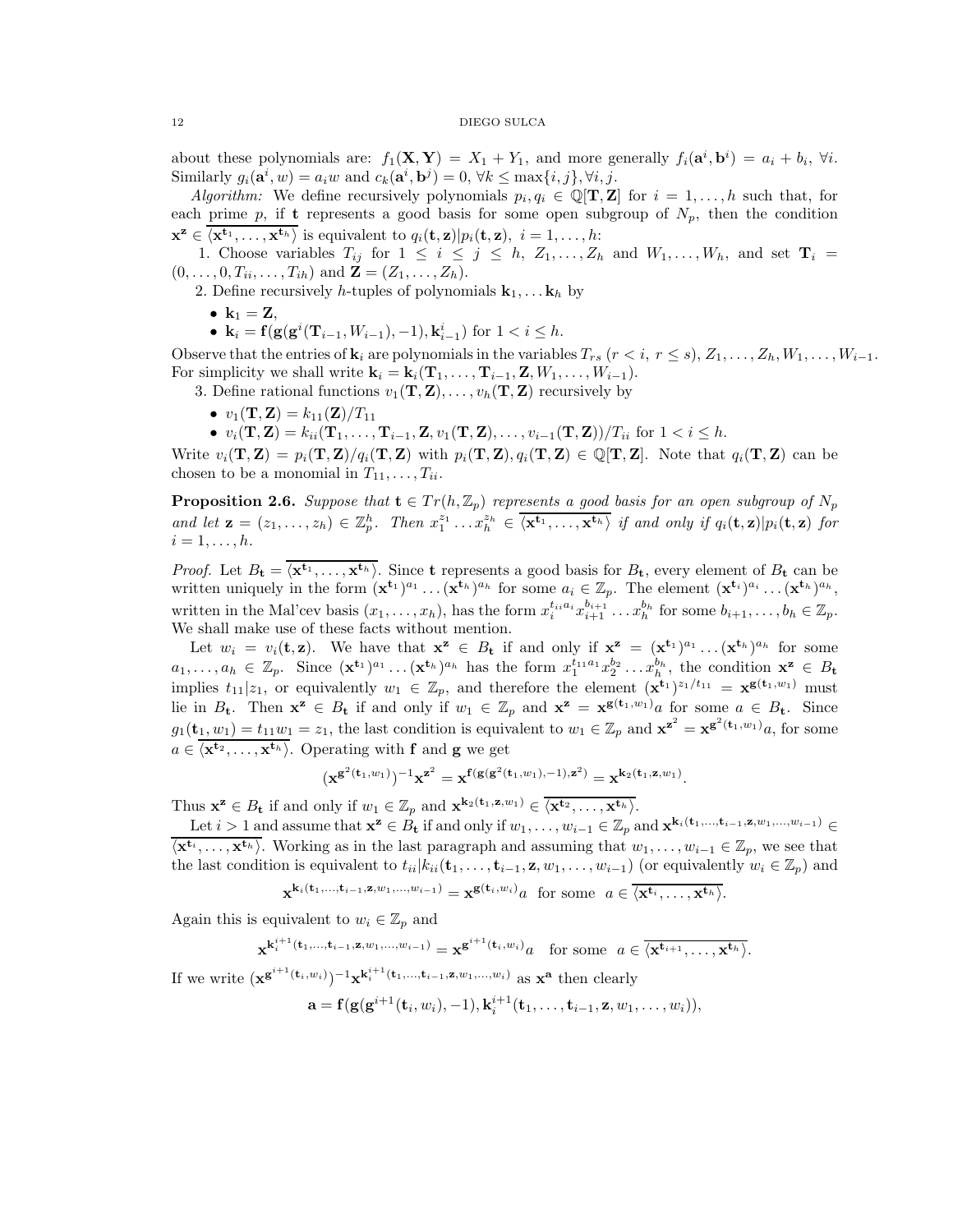about these polynomials are:  $f_1(\mathbf{X}, \mathbf{Y}) = X_1 + Y_1$ , and more generally  $f_i(\mathbf{a}^i, \mathbf{b}^i) = a_i + b_i$ ,  $\forall i$ . Similarly  $g_i(\mathbf{a}^i, w) = a_i w$  and  $c_k(\mathbf{a}^i, \mathbf{b}^j) = 0, \forall k \leq \max\{i, j\}, \forall i, j$ .

*Algorithm:* We define recursively polynomials  $p_i, q_i \in \mathbb{Q}[\mathbf{T}, \mathbf{Z}]$  for  $i = 1, ..., h$  such that, for each prime p, if t represents a good basis for some open subgroup of  $N_p$ , then the condition  $\mathbf{x}^{\mathbf{z}} \in \overline{\langle \mathbf{x}^{\mathbf{t}_1}, \dots, \mathbf{x}^{\mathbf{t}_h} \rangle}$  is equivalent to  $q_i(\mathbf{t}, \mathbf{z}) | p_i(\mathbf{t}, \mathbf{z}), i = 1, \dots, h$ :

1. Choose variables  $T_{ij}$  for  $1 \leq i \leq j \leq h$ ,  $Z_1, \ldots, Z_h$  and  $W_1, \ldots, W_h$ , and set  $\mathbf{T}_i =$  $(0, \ldots, 0, T_{ii}, \ldots, T_{ih})$  and  $\mathbf{Z} = (Z_1, \ldots, Z_h)$ .

2. Define recursively h-tuples of polynomials  $\mathbf{k}_1, \ldots, \mathbf{k}_h$  by

- $k_1 = Z$ ,
- $\mathbf{k}_i = \mathbf{f}(\mathbf{g}(\mathbf{g}^i(\mathbf{T}_{i-1}, W_{i-1}), -1), \mathbf{k}_{i-1}^i)$  for  $1 < i \leq h$ .

Observe that the entries of  $\mathbf{k}_i$  are polynomials in the variables  $T_{rs}$   $(r < i, r \leq s), Z_1, \ldots, Z_h, W_1, \ldots, W_{i-1}$ . For simplicity we shall write  $\mathbf{k}_i = \mathbf{k}_i(\mathbf{T}_1, \ldots, \mathbf{T}_{i-1}, \mathbf{Z}, W_1, \ldots, W_{i-1}).$ 

3. Define rational functions  $v_1(\mathbf{T}, \mathbf{Z}), \ldots, v_h(\mathbf{T}, \mathbf{Z})$  recursively by

•  $v_1(T, Z) = k_{11}(Z)/T_{11}$ 

•  $v_i(\mathbf{T}, \mathbf{Z}) = k_{ii}(\mathbf{T}_1, \dots, \mathbf{T}_{i-1}, \mathbf{Z}, v_1(\mathbf{T}, \mathbf{Z}), \dots, v_{i-1}(\mathbf{T}, \mathbf{Z})) / T_{ii}$  for  $1 < i \leq h$ .

Write  $v_i(\mathbf{T}, \mathbf{Z}) = p_i(\mathbf{T}, \mathbf{Z})/q_i(\mathbf{T}, \mathbf{Z})$  with  $p_i(\mathbf{T}, \mathbf{Z}), q_i(\mathbf{T}, \mathbf{Z}) \in \mathbb{Q}[\mathbf{T}, \mathbf{Z}]$ . Note that  $q_i(\mathbf{T}, \mathbf{Z})$  can be chosen to be a monomial in  $T_{11}, \ldots, T_{ii}$ .

<span id="page-11-0"></span>**Proposition 2.6.** Suppose that  $\mathbf{t} \in Tr(h, \mathbb{Z}_p)$  represents a good basis for an open subgroup of  $N_p$ and let  $\mathbf{z} = (z_1, \ldots, z_h) \in \mathbb{Z}_p^h$ . Then  $x_1^{z_1} \ldots x_h^{z_h} \in \overline{\langle \mathbf{x^{t_1}}, \ldots, \mathbf{x^{t_h}} \rangle}$  if and only if  $q_i(\mathbf{t}, \mathbf{z}) | p_i(\mathbf{t}, \mathbf{z})$  for  $i=1,\ldots,h.$ 

*Proof.* Let  $B_t = \langle \mathbf{x}^{t_1}, \ldots, \mathbf{x}^{t_h} \rangle$ . Since t represents a good basis for  $B_t$ , every element of  $B_t$  can be written uniquely in the form  $(\mathbf{x}^{t_1})^{a_1} \dots (\mathbf{x}^{t_h})^{a_h}$  for some  $a_i \in \mathbb{Z}_p$ . The element  $(\mathbf{x}^{t_i})^{a_i} \dots (\mathbf{x}^{t_h})^{a_h}$ , written in the Mal'cev basis  $(x_1, \ldots, x_h)$ , has the form  $x_i^{t_i a_i} x_{i+1}^{b_{i+1}} \ldots x_h^{b_h}$  for some  $b_{i+1}, \ldots, b_h \in \mathbb{Z}_p$ . We shall make use of these facts without mention.

Let  $w_i = v_i(\mathbf{t}, \mathbf{z})$ . We have that  $\mathbf{x}^{\mathbf{z}} \in B_{\mathbf{t}}$  if and only if  $\mathbf{x}^{\mathbf{z}} = (\mathbf{x}^{\mathbf{t}_1})^{a_1} \dots (\mathbf{x}^{\mathbf{t}_h})^{a_h}$  for some  $a_1,\ldots,a_h \in \mathbb{Z}_p$ . Since  $(\mathbf{x}^{t_1})^{a_1}\ldots(\mathbf{x}^{t_h})^{a_h}$  has the form  $x_1^{t_1a_1}x_2^{b_2}\ldots x_h^{b_h}$ , the condition  $\mathbf{x}^z \in B_t$ implies  $t_{11}|z_1$ , or equivalently  $w_1 \in \mathbb{Z}_p$ , and therefore the element  $(\mathbf{x}^{t_1})^{z_1/t_{11}} = \mathbf{x}^{\mathbf{g}(t_1,w_1)}$  must lie in  $B_t$ . Then  $\mathbf{x}^z \in B_t$  if and only if  $w_1 \in \mathbb{Z}_p$  and  $\mathbf{x}^z = \mathbf{x}^{\mathbf{g}(\mathbf{t}_1, w_1)}$  for some  $a \in B_t$ . Since  $g_1(\mathbf{t}_1, w_1) = t_{11}w_1 = z_1$ , the last condition is equivalent to  $w_1 \in \mathbb{Z}_p$  and  $\mathbf{x}^{\mathbf{z}^2} = \mathbf{x}^{\mathbf{g}^2(\mathbf{t}_1, w_1)}a$ , for some  $a \in \langle \mathbf{x}^{\mathbf{t}_2}, \dots, \mathbf{x}^{\mathbf{t}_h} \rangle$ . Operating with f and g we get

$$
(x^{g^2({\bf t}_1,w_1)})^{-1}x^{z^2}=x^{f(g(g^2({\bf t}_1,w_1),-1),z^2)}=x^{k_2({\bf t}_1,z,w_1)}.
$$

Thus  $\mathbf{x}^{\mathbf{z}} \in B_{\mathbf{t}}$  if and only if  $w_1 \in \mathbb{Z}_p$  and  $\mathbf{x}^{\mathbf{k}_2(\mathbf{t}_1, \mathbf{z}, w_1)} \in \overline{\langle \mathbf{x}^{\mathbf{t}_2}, \dots, \mathbf{x}^{\mathbf{t}_h} \rangle}$ .

Let  $i > 1$  and assume that  $\mathbf{x}^{\mathbf{z}} \in B_{\mathbf{t}}$  if and only if  $w_1, \ldots, w_{i-1} \in \mathbb{Z}_p$  and  $\mathbf{x}^{\mathbf{k}_i(\mathbf{t}_1,\ldots,\mathbf{t}_{i-1}, \mathbf{z}, w_1,\ldots, w_{i-1})} \in$  $\overline{\langle \mathbf{x}^{t_i}, \ldots, \mathbf{x}^{t_h} \rangle}$ . Working as in the last paragraph and assuming that  $w_1, \ldots, w_{i-1} \in \mathbb{Z}_p$ , we see that the last condition is equivalent to  $t_{ii}|k_{ii}(\mathbf{t}_1,\ldots,\mathbf{t}_{i-1},\mathbf{z},w_1,\ldots,w_{i-1})$  (or equivalently  $w_i \in \mathbb{Z}_p$ ) and  $\mathbf{x}^{\mathbf{k}_i(\mathbf{t}_1,...,\mathbf{t}_{i-1},\mathbf{z},w_1,...,w_{i-1})} = \mathbf{x}^{\mathbf{g}(\mathbf{t}_i,w_i)} a$  for some  $a \in \overline{\langle \mathbf{x}^{\mathbf{t}_i},..., \mathbf{x}^{\mathbf{t}_h} \rangle}.$ 

Again this is equivalent to  $w_i \in \mathbb{Z}_p$  and

$$
\mathbf{x}^{\mathbf{k}_i^{i+1}(\mathbf{t}_1,\ldots,\mathbf{t}_{i-1},\mathbf{z},w_1,\ldots,w_{i-1})} = \mathbf{x}^{\mathbf{g}^{i+1}(\mathbf{t}_i,w_i)}a \quad \text{for some} \ \ a \in \overline{\langle \mathbf{x}^{\mathbf{t}_{i+1}},\ldots,\mathbf{x}^{\mathbf{t}_h} \rangle}.
$$

If we write  $(\mathbf{x}^{\mathbf{g}^{i+1}(\mathbf{t}_i,w_i)})^{-1}\mathbf{x}^{\mathbf{k}_i^{i+1}(\mathbf{t}_1,\ldots,\mathbf{t}_{i-1},\mathbf{z},w_1,\ldots,w_i)}$  as  $\mathbf{x}^{\mathbf{a}}$  then clearly

$$
\mathbf{a} = \mathbf{f}(\mathbf{g}(\mathbf{g}^{i+1}(\mathbf{t}_i,w_i),-1),\mathbf{k}_i^{i+1}(\mathbf{t}_1,\ldots,\mathbf{t}_{i-1},\mathbf{z},w_1,\ldots,w_i)),
$$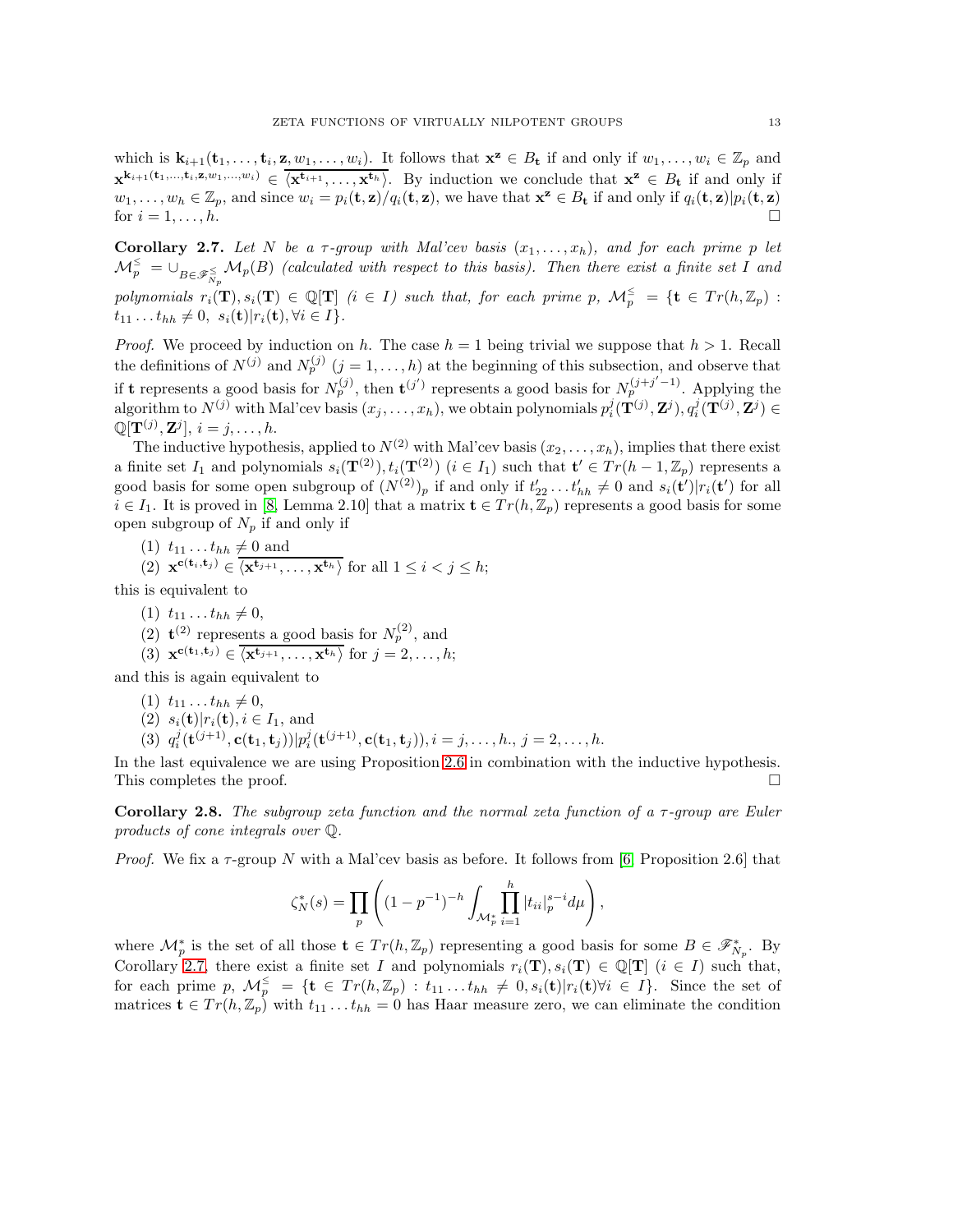which is  $\mathbf{k}_{i+1}(\mathbf{t}_1,\ldots,\mathbf{t}_i,\mathbf{z},w_1,\ldots,w_i)$ . It follows that  $\mathbf{x}^{\mathbf{z}} \in B_{\mathbf{t}}$  if and only if  $w_1,\ldots,w_i \in \mathbb{Z}_p$  and  $\mathbf{x}^{\mathbf{k}_{i+1}(\mathbf{t}_1,...,\mathbf{t}_i,\mathbf{z},w_1,...,w_i)} \in \overline{\langle \mathbf{x}^{\mathbf{t}_{i+1}},..., \mathbf{x}^{\mathbf{t}_h} \rangle}$ . By induction we conclude that  $\mathbf{x}^{\mathbf{z}} \in B_{\mathbf{t}}$  if and only if  $w_1, \ldots, w_h \in \mathbb{Z}_p$ , and since  $w_i = p_i(\mathbf{t}, \mathbf{z})/q_i(\mathbf{t}, \mathbf{z})$ , we have that  $\mathbf{x}^{\mathbf{z}} \in B_{\mathbf{t}}$  if and only if  $q_i(\mathbf{t}, \mathbf{z})|p_i(\mathbf{t}, \mathbf{z})$ for  $i = 1, \ldots, h$ .

<span id="page-12-1"></span>Corollary 2.7. Let N be a  $\tau$ -group with Mal'cev basis  $(x_1, \ldots, x_h)$ , and for each prime p let  $\mathcal{M}_p^\leq = \cup_{B\in\mathscr{F}_{N_p}^\leq}\mathcal{M}_p(B)$  (calculated with respect to this basis). Then there exist a finite set I and polynomials  $r_i(\mathbf{T}), s_i(\mathbf{T}) \in \mathbb{Q}[\mathbf{T}]$  (i  $\in I$ ) such that, for each prime p,  $\mathcal{M}_p^{\leq} = \{ \mathbf{t} \in Tr(h, \mathbb{Z}_p) :$  $t_{11} \ldots t_{hh} \neq 0$ ,  $s_i(\mathbf{t})|r_i(\mathbf{t}), \forall i \in I$ .

*Proof.* We proceed by induction on h. The case  $h = 1$  being trivial we suppose that  $h > 1$ . Recall the definitions of  $N^{(j)}$  and  $N_p^{(j)}$   $(j = 1, ..., h)$  at the beginning of this subsection, and observe that if **t** represents a good basis for  $N_p^{(j)}$ , then  $\mathbf{t}^{(j')}$  represents a good basis for  $N_p^{(j+j'-1)}$ . Applying the algorithm to  $N^{(j)}$  with Mal'cev basis  $(x_j, \ldots, x_h)$ , we obtain polynomials  $p_i^j(\mathbf{T}^{(j)}, \mathbf{Z}^j)$ ,  $q_i^j(\mathbf{T}^{(j)}, \mathbf{Z}^j) \in$  $\mathbb{Q}[\mathbf{T}^{(j)},\mathbf{Z}^{j}], i = j, \ldots, h.$ 

The inductive hypothesis, applied to  $N^{(2)}$  with Mal'cev basis  $(x_2, \ldots, x_h)$ , implies that there exist a finite set  $I_1$  and polynomials  $s_i(\mathbf{T}^{(2)}), t_i(\mathbf{T}^{(2)})$   $(i \in I_1)$  such that  $\mathbf{t}' \in Tr(h-1, \mathbb{Z}_p)$  represents a good basis for some open subgroup of  $(N^{(2)})_p$  if and only if  $t'_{22} \ldots t'_{hh} \neq 0$  and  $s_i(\mathbf{t}')|r_i(\mathbf{t}')$  for all  $i \in I_1$ . It is proved in [\[8,](#page-16-12) Lemma 2.10] that a matrix  $\mathbf{t} \in Tr(h, \mathbb{Z}_p)$  represents a good basis for some open subgroup of  $N_p$  if and only if

(1) 
$$
t_{11} \ldots t_{hh} \neq 0
$$
 and

(2) 
$$
\mathbf{x}^{c(t_i,t_j)} \in \langle \mathbf{x}^{t_{j+1}}, \dots, \mathbf{x}^{t_h} \rangle
$$
 for all  $1 \leq i < j \leq h$ ;

this is equivalent to

- (1)  $t_{11} \ldots t_{hh} \neq 0$ ,
- (2)  $\mathbf{t}^{(2)}$  represents a good basis for  $N_p^{(2)}$ , and
- (3)  $\mathbf{x}^{\mathbf{c}(\mathbf{t}_1, \mathbf{t}_j)} \in \overline{\langle \mathbf{x}^{\mathbf{t}_{j+1}}, \dots, \mathbf{x}^{\mathbf{t}_h} \rangle}$  for  $j = 2, \dots, h;$

and this is again equivalent to

- $(1)$   $t_{11} \ldots t_{hh} \neq 0,$
- (2)  $s_i(t)|r_i(t), i \in I_1$ , and
- (3)  $q_i^j(\mathbf{t}^{(j+1)}, \mathbf{c}(\mathbf{t}_1, \mathbf{t}_j)) | p_i^j(\mathbf{t}^{(j+1)}, \mathbf{c}(\mathbf{t}_1, \mathbf{t}_j)), i = j, \ldots, h, j = 2, \ldots, h.$

In the last equivalence we are using Proposition [2.6](#page-11-0) in combination with the inductive hypothesis. This completes the proof.  $\Box$ 

<span id="page-12-0"></span>**Corollary 2.8.** The subgroup zeta function and the normal zeta function of a  $\tau$ -group are Euler products of cone integrals over Q.

*Proof.* We fix a  $\tau$ -group N with a Mal'cev basis as before. It follows from [\[6,](#page-16-0) Proposition 2.6] that

$$
\zeta_N^*(s) = \prod_p \left( (1 - p^{-1})^{-h} \int_{\mathcal{M}_p^*} \prod_{i=1}^h |t_{ii}|_p^{s-i} d\mu \right),
$$

where  $\mathcal{M}_p^*$  is the set of all those  $\mathbf{t} \in Tr(h, \mathbb{Z}_p)$  representing a good basis for some  $B \in \mathscr{F}_{N_p}^*$ . By Corollary [2.7,](#page-12-1) there exist a finite set I and polynomials  $r_i(\mathbf{T}), s_i(\mathbf{T}) \in \mathbb{Q}[\mathbf{T}]$   $(i \in I)$  such that, for each prime p,  $\mathcal{M}_p^{\leq} = \{ \mathbf{t} \in Tr(h, \mathbb{Z}_p) : t_{11} \dots t_{hh} \neq 0, s_i(\mathbf{t}) | r_i(\mathbf{t}) \forall i \in I \}.$  Since the set of matrices  $\mathbf{t} \in Tr(h, \mathbb{Z}_p)$  with  $t_{11} \dots t_{hh} = 0$  has Haar measure zero, we can eliminate the condition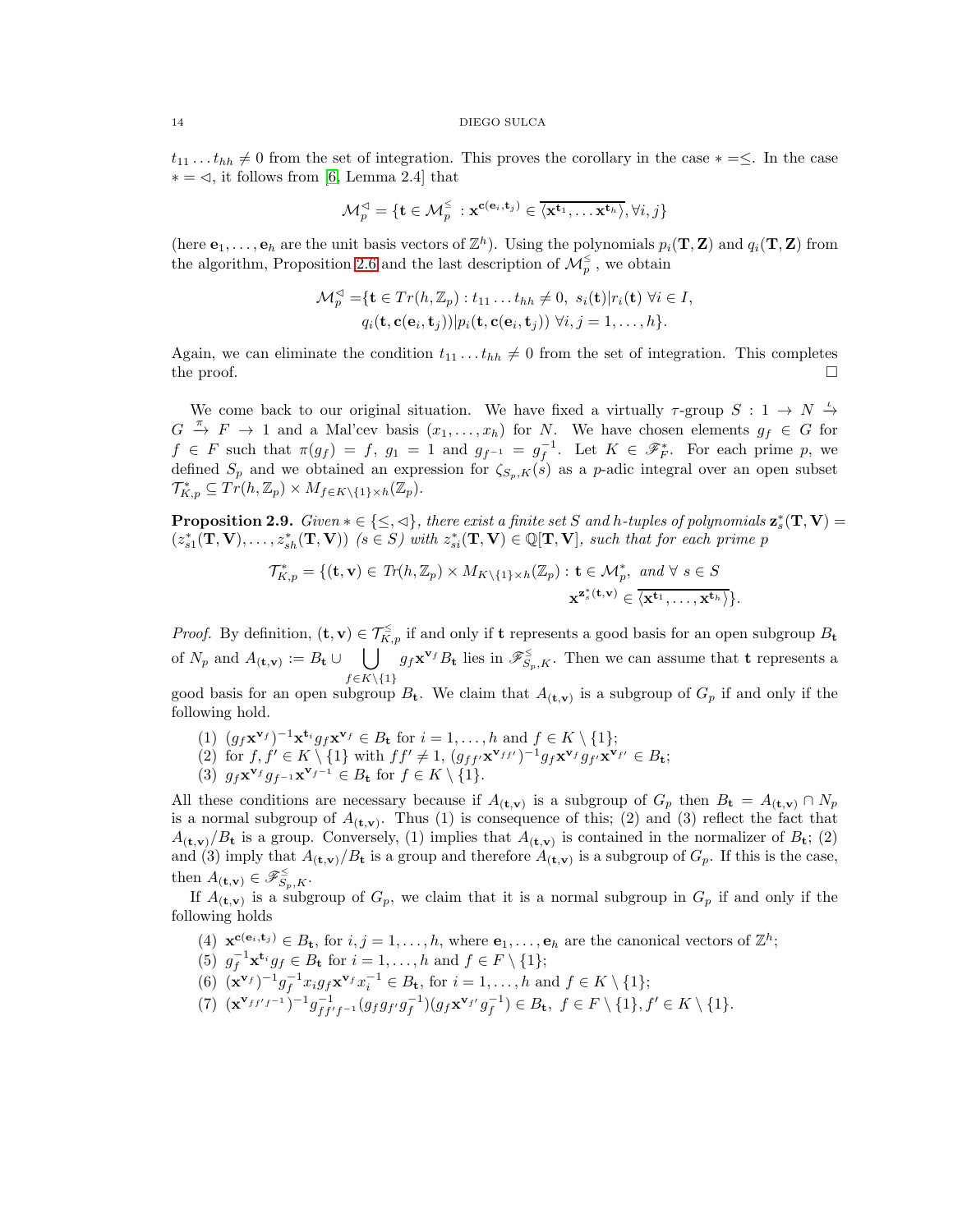$t_{11} \dots t_{hh} \neq 0$  from the set of integration. This proves the corollary in the case ∗ = ≤. In the case  $* = \leq$ , it follows from [\[6,](#page-16-0) Lemma 2.4] that

$$
\mathcal{M}^{\lhd}_p = \{ \mathbf{t} \in \mathcal{M}^{\leq}_p \ : \mathbf{x}^{\mathbf{c}(\mathbf{e}_i, \mathbf{t}_j)} \in \overline{\langle \mathbf{x}^{\mathbf{t}_1}, \dots \mathbf{x}^{\mathbf{t}_h} \rangle}, \forall i, j \}
$$

(here  $e_1, \ldots, e_h$  are the unit basis vectors of  $\mathbb{Z}^h$ ). Using the polynomials  $p_i(\mathbf{T}, \mathbf{Z})$  and  $q_i(\mathbf{T}, \mathbf{Z})$  from the algorithm, Proposition [2.6](#page-11-0) and the last description of  $\mathcal{M}_p^{\leq}$ , we obtain

$$
\mathcal{M}_p^{\lhd} = {\mathbf{t} \in Tr(h, \mathbb{Z}_p) : t_{11} \dots t_{hh} \neq 0, \ s_i(\mathbf{t}) | r_i(\mathbf{t}) \ \forall i \in I, \ q_i(\mathbf{t}, \mathbf{c}(\mathbf{e}_i, \mathbf{t}_j)) | p_i(\mathbf{t}, \mathbf{c}(\mathbf{e}_i, \mathbf{t}_j)) \ \forall i, j = 1, \dots, h}.
$$

Again, we can eliminate the condition  $t_{11} \nldots t_{hh} \neq 0$  from the set of integration. This completes the proof.  $\Box$ 

We come back to our original situation. We have fixed a virtually  $\tau$ -group  $S: 1 \to N \stackrel{\iota}{\to}$  $G \stackrel{\pi}{\to} F \to 1$  and a Mal'cev basis  $(x_1, \ldots, x_h)$  for N. We have chosen elements  $g_f \in G$  for  $f \in F$  such that  $\pi(g_f) = f$ ,  $g_1 = 1$  and  $g_{f^{-1}} = g_f^{-1}$ . Let  $K \in \mathscr{F}_F^*$ . For each prime p, we defined  $S_p$  and we obtained an expression for  $\zeta_{S_p,K}(s)$  as a p-adic integral over an open subset  $\mathcal{T}_{K,p}^* \subseteq Tr(h,\mathbb{Z}_p) \times M_{f \in K \setminus \{1\} \times h}(\mathbb{Z}_p).$ 

<span id="page-13-0"></span>**Proposition 2.9.** Given  $*\in \{\leq, \lhd\}$ , there exist a finite set S and h-tuples of polynomials  $\mathbf{z}_s^*(\mathbf{T}, \mathbf{V}) =$  $(z_{s1}^*(\mathbf{T}, \mathbf{V}), \ldots, z_{sh}^*(\mathbf{T}, \mathbf{V}))$   $(s \in S)$  with  $z_{si}^*(\mathbf{T}, \mathbf{V}) \in \mathbb{Q}[\mathbf{T}, \mathbf{V}]$ , such that for each prime p

$$
\mathcal{T}_{K,p}^* = \{ (\mathbf{t}, \mathbf{v}) \in \mathit{Tr}(h, \mathbb{Z}_p) \times M_{K \setminus \{1\} \times h}(\mathbb{Z}_p) : \mathbf{t} \in \mathcal{M}_p^*, \text{ and } \forall s \in S
$$

$$
\mathbf{x}^{\mathbf{z}_s^* (\mathbf{t}, \mathbf{v})} \in \overline{\{\mathbf{x}^{\mathbf{t}_1}, \dots, \mathbf{x}^{\mathbf{t}_h}\}}.
$$

*Proof.* By definition,  $(\mathbf{t}, \mathbf{v}) \in \mathcal{T}_{K,p}^{\leq}$  if and only if **t** represents a good basis for an open subgroup  $B_{\mathbf{t}}$ of  $N_p$  and  $A_{(\mathbf{t},\mathbf{v})} := B_{\mathbf{t}} \cup \bigcup g_f \mathbf{x}^{\mathbf{v}_f} B_{\mathbf{t}}$  lies in  $\mathscr{F}_{S_p,K}^{\leq}$ . Then we can assume that  $\mathbf{t}$  represents a  $f\in K\backslash\{1\}$ 

good basis for an open subgroup  $B_t$ . We claim that  $A_{(t,v)}$  is a subgroup of  $G_p$  if and only if the following hold.

- (1)  $(g_f \mathbf{x}^{\mathbf{v}_f})^{-1} \mathbf{x}^{\mathbf{t}_i} g_f \mathbf{x}^{\mathbf{v}_f} \in B_{\mathbf{t}}$  for  $i = 1, \ldots, h$  and  $f \in K \setminus \{1\};$
- (2) for  $f, f' \in K \setminus \{1\}$  with  $ff' \neq 1$ ,  $(g_{ff'}\mathbf{x}^{\mathbf{v}}_{ff'})^{-1}g_f\mathbf{x}^{\mathbf{v}}_{f}g_{f'}\mathbf{x}^{\mathbf{v}}_{f'} \in B_{\mathbf{t}}$ ;
- (3)  $g_f \mathbf{x}^{\mathbf{v}_f} g_{f^{-1}} \mathbf{x}^{\mathbf{v}_{f^{-1}}} \in B_{\mathbf{t}}$  for  $f \in K \setminus \{1\}.$

All these conditions are necessary because if  $A_{(t,v)}$  is a subgroup of  $G_p$  then  $B_t = A_{(t,v)} \cap N_p$ is a normal subgroup of  $A_{(t,v)}$ . Thus (1) is consequence of this; (2) and (3) reflect the fact that  $A_{(t,v)}/B_t$  is a group. Conversely, (1) implies that  $A_{(t,v)}$  is contained in the normalizer of  $B_t$ ; (2) and (3) imply that  $A_{(t,v)}/B_t$  is a group and therefore  $A_{(t,v)}$  is a subgroup of  $G_p$ . If this is the case, then  $A_{(\mathbf{t},\mathbf{v})} \in \mathscr{F}_{S_p,K}^{\leq}$ .

If  $A_{(t,v)}$  is a subgroup of  $G_p$ , we claim that it is a normal subgroup in  $G_p$  if and only if the following holds

- (4)  $\mathbf{x}^{c(e_i, t_j)} \in B_t$ , for  $i, j = 1, ..., h$ , where  $e_1, ..., e_h$  are the canonical vectors of  $\mathbb{Z}^h$ ;
- (5)  $g_f^{-1} \mathbf{x}^{\mathbf{t}_i} g_f \in B_{\mathbf{t}}$  for  $i = 1, \ldots, h$  and  $f \in F \setminus \{1\};$
- (6)  $(\mathbf{x}^{\mathbf{v}_f})^{-1} g_f^{-1} x_i g_f \mathbf{x}^{\mathbf{v}_f} x_i^{-1} \in B_{\mathbf{t}}, \text{ for } i = 1, ..., h \text{ and } f \in K \setminus \{1\};$
- $(7)$   $(\mathbf{x}^{\mathbf{v}_{f f' f^{-1}}})^{-1} g_{f f' f^{-1}}^{-1} (g_f g_{f'} g_f^{-1}) (g_f \mathbf{x}^{\mathbf{v}_{f'}} g_f^{-1}) \in B_{\mathbf{t}}, \ f \in F \setminus \{1\}, f' \in K \setminus \{1\}.$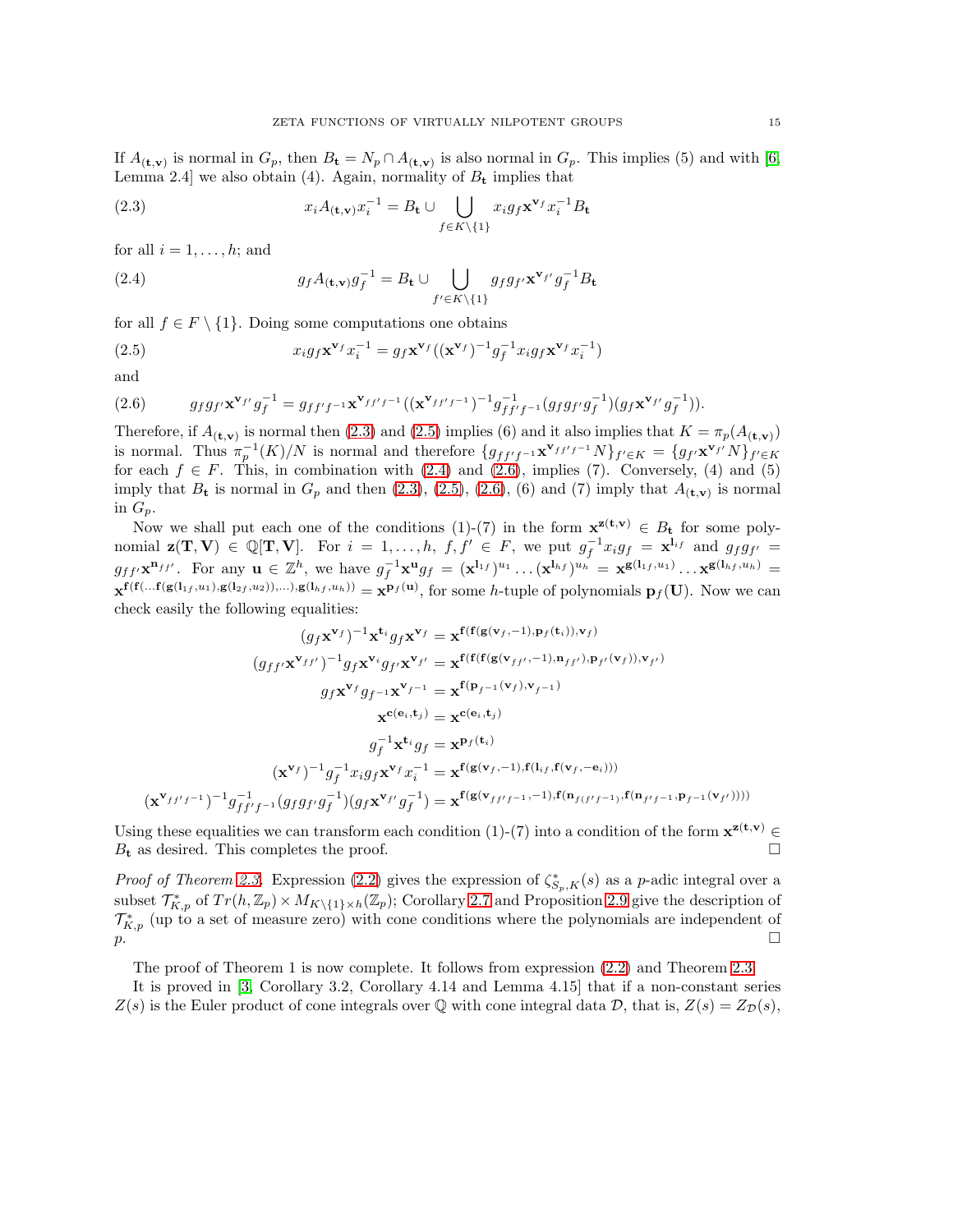If  $A_{(t,v)}$  is normal in  $G_p$ , then  $B_t = N_p \cap A_{(t,v)}$  is also normal in  $G_p$ . This implies (5) and with [\[6,](#page-16-0) Lemma 2.4] we also obtain (4). Again, normality of  $B_t$  implies that

<span id="page-14-0"></span>(2.3) 
$$
x_i A_{(\mathbf{t}, \mathbf{v})} x_i^{-1} = B_{\mathbf{t}} \cup \bigcup_{f \in K \setminus \{1\}} x_i g_f \mathbf{x}^{\mathbf{v}_f} x_i^{-1} B_{\mathbf{t}}
$$

for all  $i = 1, \ldots, h$ ; and

<span id="page-14-2"></span>(2.4) 
$$
g_f A_{(\mathbf{t}, \mathbf{v})} g_f^{-1} = B_{\mathbf{t}} \cup \bigcup_{f' \in K \setminus \{1\}} g_f g_{f'} \mathbf{x}^{\mathbf{v}_{f'}} g_f^{-1} B_{\mathbf{t}}
$$

for all  $f \in F \setminus \{1\}$ . Doing some computations one obtains

<span id="page-14-1"></span>(2.5) 
$$
x_i g_f \mathbf{x}^{\mathbf{v}_f} x_i^{-1} = g_f \mathbf{x}^{\mathbf{v}_f} ((\mathbf{x}^{\mathbf{v}_f})^{-1} g_f^{-1} x_i g_f \mathbf{x}^{\mathbf{v}_f} x_i^{-1})
$$

and

<span id="page-14-3"></span>(2.6) 
$$
g_f g_{f'} \mathbf{x}^{\mathbf{v}_{f'}} g_f^{-1} = g_{f f' f^{-1}} \mathbf{x}^{\mathbf{v}_{f f' f^{-1}}} ((\mathbf{x}^{\mathbf{v}_{f f' f^{-1}}})^{-1} g_{f f' f^{-1}}^{-1} (g_f g_{f'} g_f^{-1}) (g_f \mathbf{x}^{\mathbf{v}_{f'}} g_f^{-1})).
$$

Therefore, if  $A_{(t,v)}$  is normal then [\(2.3\)](#page-14-0) and [\(2.5\)](#page-14-1) implies (6) and it also implies that  $K = \pi_p(A_{(t,v)})$ is normal. Thus  $\pi_p^{-1}(K)/N$  is normal and therefore  $\{g_{ff'f^{-1}}\mathbf{x}^{\mathbf{v}_{ff'f^{-1}}}N\}_{f'\in K}=\{g_{f'}\mathbf{x}^{\mathbf{v}_{f'}}N\}_{f'\in K}$ for each  $f \in F$ . This, in combination with [\(2.4\)](#page-14-2) and [\(2.6\)](#page-14-3), implies (7). Conversely, (4) and (5) imply that  $B_t$  is normal in  $G_p$  and then  $(2.3)$ ,  $(2.5)$ ,  $(2.6)$ ,  $(6)$  and  $(7)$  imply that  $A_{(t,v)}$  is normal in  $G_n$ .

Now we shall put each one of the conditions (1)-(7) in the form  $\mathbf{x}^{\mathbf{z}(\mathbf{t},\mathbf{v})} \in B_{\mathbf{t}}$  for some polynomial  $\mathbf{z}(\mathbf{T}, \mathbf{V}) \in \mathbb{Q}[\mathbf{T}, \mathbf{V}]$ . For  $i = 1, ..., h, f, f' \in F$ , we put  $g_f^{-1}x_ig_f = \mathbf{x}^{\mathbf{l}_{if}}$  and  $g_fg_{f'} =$  $g_{ff'}\mathbf{x}^{\mathbf{n}_{ff'}}$ . For any  $\mathbf{u} \in \mathbb{Z}^h$ , we have  $g_f^{-1}\mathbf{x}^{\mathbf{u}}g_f = (\mathbf{x}^{\mathbf{l}_{1f}})^{u_1} \dots (\mathbf{x}^{\mathbf{l}_{hf}})^{u_h} = \mathbf{x}^{\mathbf{g}(\mathbf{l}_{1f},u_1)} \dots \mathbf{x}^{\mathbf{g}(\mathbf{l}_{hf},u_h)} =$  $\mathbf{x}^{\mathbf{f}(\mathbf{f}(\ldots\mathbf{f}(\mathbf{g}(\mathbf{l}_{1f},u_1),\mathbf{g}(\mathbf{l}_{2f},u_2)),\ldots),\mathbf{g}(\mathbf{l}_{hf},u_h))} = \mathbf{x}^{\mathbf{p}_f(\mathbf{u})}$ , for some h-tuple of polynomials  $\mathbf{p}_f(\mathbf{U})$ . Now we can check easily the following equalities:

$$
(g_f \mathbf{x}^{\mathbf{v}_f})^{-1} \mathbf{x}^{\mathbf{t}_i} g_f \mathbf{x}^{\mathbf{v}_f} = \mathbf{x}^{\mathbf{f}(\mathbf{f}(\mathbf{g}(\mathbf{v}_f,-1),\mathbf{p}_f(\mathbf{t}_i)),\mathbf{v}_f)}
$$

$$
(g_{ff'} \mathbf{x}^{\mathbf{v}_{ff'}})^{-1} g_f \mathbf{x}^{\mathbf{v}_i} g_{f'} \mathbf{x}^{\mathbf{v}_{f'}} = \mathbf{x}^{\mathbf{f}(\mathbf{f}(\mathbf{f}(\mathbf{g}(\mathbf{v}_{ff'},-1),\mathbf{n}_{ff'}),\mathbf{p}_{f'}(\mathbf{v}_f)),\mathbf{v}_{f'})}
$$

$$
g_f \mathbf{x}^{\mathbf{v}_f} g_{f^{-1}} \mathbf{x}^{\mathbf{v}_{f-1}} = \mathbf{x}^{\mathbf{f}(\mathbf{p}_{f^{-1}}(\mathbf{v}_f),\mathbf{v}_{f-1})}
$$

$$
\mathbf{x}^{\mathbf{c}(\mathbf{e}_i,\mathbf{t}_j)} = \mathbf{x}^{\mathbf{c}(\mathbf{e}_i,\mathbf{t}_j)}
$$

$$
g_f^{-1} \mathbf{x}^{\mathbf{t}_i} g_f = \mathbf{x}^{\mathbf{p}_f(\mathbf{t}_i)}
$$

$$
(\mathbf{x}^{\mathbf{v}_f})^{-1} g_f^{-1} x_i g_f \mathbf{x}^{\mathbf{v}_f} x_i^{-1} = \mathbf{x}^{\mathbf{f}(\mathbf{g}(\mathbf{v}_f,-1),\mathbf{f}(\mathbf{l}_{if},\mathbf{f}(\mathbf{v}_f,-\mathbf{e}_i)))}
$$

$$
(\mathbf{x}^{\mathbf{v}_{ff'f-1}})^{-1} g_{ff'f^{-1}}^{-1} (g_f g_f g_f^{-1}) (g_f \mathbf{x}^{\mathbf{v}_{f'}} g_f^{-1}) = \mathbf{x}^{\mathbf{f}(\mathbf{g}(\mathbf{v}_{ff'f-1},-1),\mathbf{f}(\mathbf{n}_{f(f'f-1)},\mathbf{f}(\mathbf{n}_{f'f-1},\mathbf{p}_{f-1}(\mathbf{v}_{f'}))))}
$$

Using these equalities we can transform each condition (1)-(7) into a condition of the form  $\mathbf{x}^{\mathbf{z}(\mathbf{t},\mathbf{v})}$  $B_t$  as desired. This completes the proof.

*Proof of Theorem [2.3.](#page-8-0)* Expression [\(2.2\)](#page-10-0) gives the expression of  $\zeta_{S_p,K}^*(s)$  as a p-adic integral over a subset  $\mathcal{T}_{K,p}^*$  of  $Tr(h,\mathbb{Z}_p)\times M_{K\setminus\{1\}\times h}(\mathbb{Z}_p)$ ; Corollary [2.7](#page-12-1) and Proposition [2.9](#page-13-0) give the description of  $\mathcal{T}_{K,p}^*$  (up to a set of measure zero) with cone conditions where the polynomials are independent of  $\mathbb{D}$ .

The proof of Theorem 1 is now complete. It follows from expression [\(2.2\)](#page-8-1) and Theorem [2.3.](#page-8-0)

It is proved in [\[3,](#page-16-2) Corollary 3.2, Corollary 4.14 and Lemma 4.15] that if a non-constant series  $Z(s)$  is the Euler product of cone integrals over Q with cone integral data D, that is,  $Z(s) = Z_{\mathcal{D}}(s)$ ,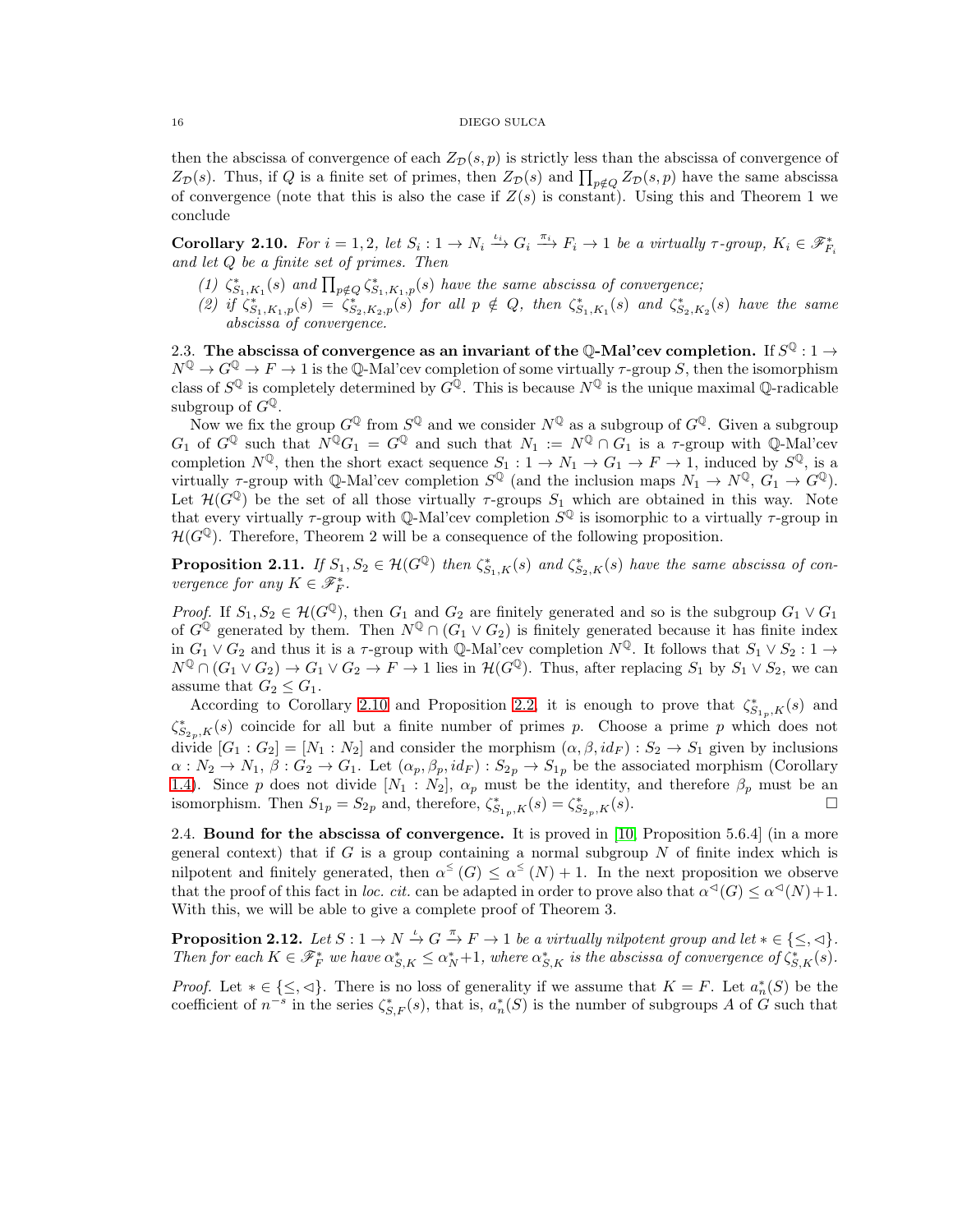then the abscissa of convergence of each  $Z_{\mathcal{D}}(s, p)$  is strictly less than the abscissa of convergence of  $Z_{\mathcal{D}}(s)$ . Thus, if Q is a finite set of primes, then  $Z_{\mathcal{D}}(s)$  and  $\prod_{p \notin Q} Z_{\mathcal{D}}(s,p)$  have the same abscissa of convergence (note that this is also the case if  $Z(s)$  is constant). Using this and Theorem 1 we conclude

<span id="page-15-1"></span>Corollary 2.10. For  $i = 1, 2$ , let  $S_i : 1 \to N_i \xrightarrow{\iota_i} G_i \xrightarrow{\pi_i} F_i \to 1$  be a virtually  $\tau$ -group,  $K_i \in \mathscr{F}_{F_i}^*$ and let Q be a finite set of primes. Then

- (1)  $\zeta_{S_1,K_1}^*(s)$  and  $\prod_{p \notin Q} \zeta_{S_1,K_1,p}^*(s)$  have the same abscissa of convergence;
- (2) if  $\zeta_{S_1,K_1,p}^*(s) = \zeta_{S_2,K_2,p}^*(s)$  for all  $p \notin Q$ , then  $\zeta_{S_1,K_1}^*(s)$  and  $\zeta_{S_2,K_2}^*(s)$  have the same abscissa of convergence.

2.3. The abscissa of convergence as an invariant of the Q-Mal'cev completion. If  $S^{\mathbb{Q}}: 1 \to$  $N^{\mathbb{Q}} \to G^{\mathbb{Q}} \to F \to 1$  is the  $\mathbb{Q}$ -Mal'cev completion of some virtually  $\tau$ -group S, then the isomorphism class of  $S^{\mathbb{Q}}$  is completely determined by  $G^{\mathbb{Q}}$ . This is because  $N^{\mathbb{Q}}$  is the unique maximal  $\mathbb{Q}$ -radicable subgroup of  $G^{\mathbb{Q}}$ .

Now we fix the group  $G^{\mathbb{Q}}$  from  $S^{\mathbb{Q}}$  and we consider  $N^{\mathbb{Q}}$  as a subgroup of  $G^{\mathbb{Q}}$ . Given a subgroup  $G_1$  of  $G^{\mathbb{Q}}$  such that  $N^{\mathbb{Q}}G_1 = G^{\mathbb{Q}}$  and such that  $N_1 := N^{\mathbb{Q}} \cap G_1$  is a  $\tau$ -group with  $\mathbb{Q}$ -Mal'cev completion  $N^{\mathbb{Q}}$ , then the short exact sequence  $S_1: 1 \to N_1 \to G_1 \to F \to 1$ , induced by  $S^{\mathbb{Q}}$ , is a virtually  $\tau$ -group with Q-Mal'cev completion  $S^{\mathbb{Q}}$  (and the inclusion maps  $N_1 \to N^{\mathbb{Q}}$ ,  $G_1 \to G^{\mathbb{Q}}$ ). Let  $\mathcal{H}(G^{\mathbb{Q}})$  be the set of all those virtually  $\tau$ -groups  $S_1$  which are obtained in this way. Note that every virtually  $\tau$ -group with Q-Mal'cev completion  $S^{\mathbb{Q}}$  is isomorphic to a virtually  $\tau$ -group in  $\mathcal{H}(G^{\mathbb{Q}})$ . Therefore, Theorem 2 will be a consequence of the following proposition.

**Proposition 2.11.** If  $S_1, S_2 \in \mathcal{H}(G^{\mathbb{Q}})$  then  $\zeta_{S_1,K}^*(s)$  and  $\zeta_{S_2,K}^*(s)$  have the same abscissa of convergence for any  $K \in \mathscr{F}_{F}^{*}$ .

*Proof.* If  $S_1, S_2 \in \mathcal{H}(G^{\mathbb{Q}})$ , then  $G_1$  and  $G_2$  are finitely generated and so is the subgroup  $G_1 \vee G_1$ of  $G^{\mathbb{Q}}$  generated by them. Then  $N^{\mathbb{Q}} \cap (G_1 \vee G_2)$  is finitely generated because it has finite index in  $G_1 \vee G_2$  and thus it is a  $\tau$ -group with Q-Mal'cev completion  $N^{\mathbb{Q}}$ . It follows that  $S_1 \vee S_2 : 1 \rightarrow$  $N^{\mathbb{Q}} \cap (G_1 \vee G_2) \to G_1 \vee G_2 \to F \to 1$  lies in  $\mathcal{H}(G^{\mathbb{Q}})$ . Thus, after replacing  $S_1$  by  $S_1 \vee S_2$ , we can assume that  $G_2 \leq G_1$ .

According to Corollary [2.10](#page-15-1) and Proposition [2.2,](#page-8-1) it is enough to prove that  $\zeta_{S_{1p},K}^*(s)$  and  $\zeta_{S_{2p},K}^*(s)$  coincide for all but a finite number of primes p. Choose a prime p which does not divide  $[G_1: G_2] = [N_1: N_2]$  and consider the morphism  $(\alpha, \beta, id_F): S_2 \to S_1$  given by inclusions  $\alpha: N_2 \to N_1$ ,  $\beta: G_2 \to G_1$ . Let  $(\alpha_p, \beta_p, id_F): S_{2p} \to S_{1p}$  be the associated morphism (Corollary [1.4\)](#page-7-1). Since p does not divide  $[N_1 : N_2]$ ,  $\alpha_p$  must be the identity, and therefore  $\beta_p$  must be an isomorphism. Then  $S_{1p} = S_{2p}$  and, therefore,  $\zeta_{S_{1p},K}^*(s) = \zeta_{S_{2p},K}^*(s)$ .

2.4. Bound for the abscissa of convergence. It is proved in  $[10,$  Proposition 5.6.4 (in a more general context) that if G is a group containing a normal subgroup  $N$  of finite index which is nilpotent and finitely generated, then  $\alpha^{\leq}(G) \leq \alpha^{\leq}(N) + 1$ . In the next proposition we observe that the proof of this fact in loc. cit. can be adapted in order to prove also that  $\alpha^{<sup>{\dagger}}(G) \leq \alpha^{<sup>{\dagger}}(N) + 1</sup></sup>$ . With this, we will be able to give a complete proof of Theorem 3.

<span id="page-15-0"></span>**Proposition 2.12.** Let  $S: 1 \to N \stackrel{\iota}{\to} G \stackrel{\pi}{\to} F \to 1$  be a virtually nilpotent group and let  $* \in \{\leq, \preceq\}$ . Then for each  $K \in \mathscr{F}_{F}^{*}$  we have  $\alpha_{S,K}^{*} \leq \alpha_{N}^{*}+1$ , where  $\alpha_{S,K}^{*}$  is the abscissa of convergence of  $\zeta_{S,K}^{*}(s)$ .

*Proof.* Let  $* \in \{\leq, \lhd\}$ . There is no loss of generality if we assume that  $K = F$ . Let  $a_n^*(S)$  be the coefficient of  $n^{-s}$  in the series  $\zeta_{S,F}^*(s)$ , that is,  $a_n^*(S)$  is the number of subgroups A of G such that